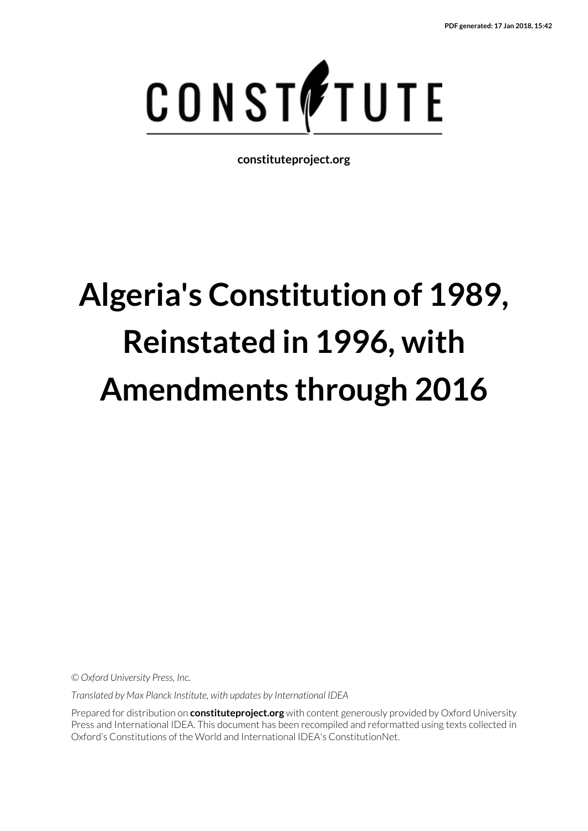

**constituteproject.org**

# **Algeria's Constitution of 1989, Reinstated in 1996, with Amendments through 2016**

*© Oxford University Press, Inc.*

*Translated by Max Planck Institute, with updates by International IDEA*

Prepared for distribution on **constituteproject.org** with content generously provided by Oxford University Press and International IDEA. This document has been recompiled and reformatted using texts collected in Oxford's Constitutions of the World and International IDEA's ConstitutionNet.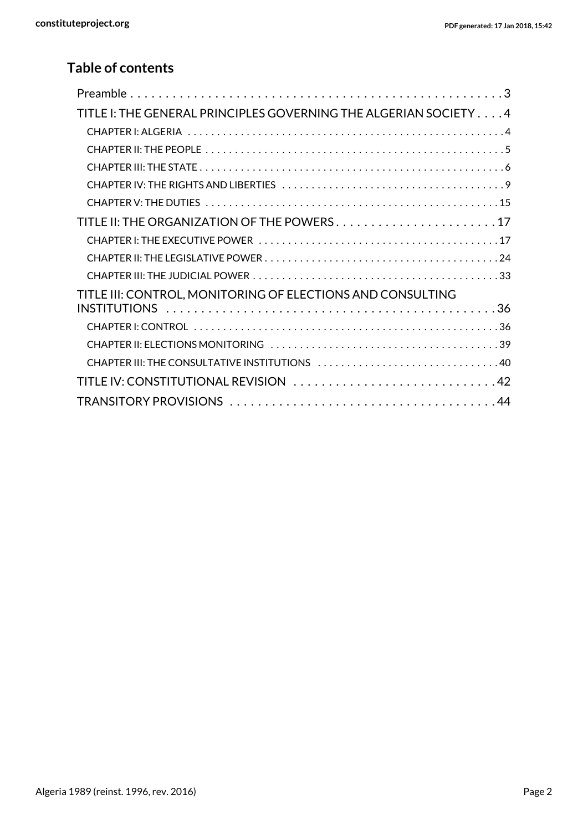### **Table of contents**

| TITLE I: THE GENERAL PRINCIPLES GOVERNING THE ALGERIAN SOCIETY 4 |
|------------------------------------------------------------------|
|                                                                  |
|                                                                  |
|                                                                  |
|                                                                  |
|                                                                  |
| TITLE II: THE ORGANIZATION OF THE POWERS17                       |
|                                                                  |
|                                                                  |
|                                                                  |
| TITLE III: CONTROL, MONITORING OF ELECTIONS AND CONSULTING       |
|                                                                  |
|                                                                  |
|                                                                  |
| CHAPTER III: THE CONSULTATIVE INSTITUTIONS 40                    |
| TITLE IV: CONSTITUTIONAL REVISION 42                             |
|                                                                  |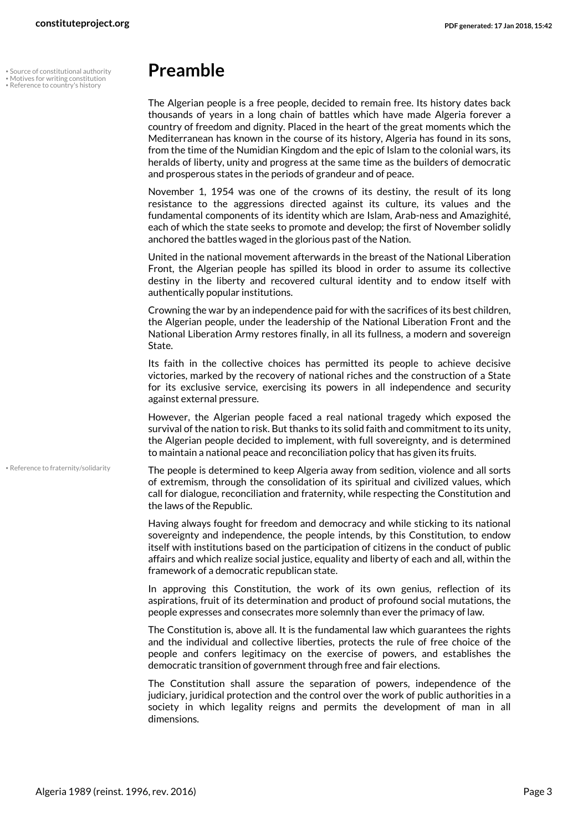Source of constitutional authority

• • • Reference to country's history

## <span id="page-2-4"></span><span id="page-2-2"></span><span id="page-2-1"></span><span id="page-2-0"></span>**Preamble**

The Algerian people is a free people, decided to remain free. Its history dates back thousands of years in a long chain of battles which have made Algeria forever a country of freedom and dignity. Placed in the heart of the great moments which the Mediterranean has known in the course of its history, Algeria has found in its sons, from the time of the Numidian Kingdom and the epic of Islam to the colonial wars, its heralds of liberty, unity and progress at the same time as the builders of democratic and prosperous states in the periods of grandeur and of peace.

November 1, 1954 was one of the crowns of its destiny, the result of its long resistance to the aggressions directed against its culture, its values and the fundamental components of its identity which are Islam, Arab-ness and Amazighité, each of which the state seeks to promote and develop; the first of November solidly anchored the battles waged in the glorious past of the Nation.

United in the national movement afterwards in the breast of the National Liberation Front, the Algerian people has spilled its blood in order to assume its collective destiny in the liberty and recovered cultural identity and to endow itself with authentically popular institutions.

Crowning the war by an independence paid for with the sacrifices of its best children, the Algerian people, under the leadership of the National Liberation Front and the National Liberation Army restores finally, in all its fullness, a modern and sovereign State.

Its faith in the collective choices has permitted its people to achieve decisive victories, marked by the recovery of national riches and the construction of a State for its exclusive service, exercising its powers in all independence and security against external pressure.

However, the Algerian people faced a real national tragedy which exposed the survival of the nation to risk. But thanks to its solid faith and commitment to its unity, the Algerian people decided to implement, with full sovereignty, and is determined to maintain a national peace and reconciliation policy that has given its fruits.

• Reference to fraternity/solidarity

<span id="page-2-3"></span>The people is determined to keep Algeria away from sedition, violence and all sorts of extremism, through the consolidation of its spiritual and civilized values, which call for dialogue, reconciliation and fraternity, while respecting the Constitution and the laws of the Republic.

Having always fought for freedom and democracy and while sticking to its national sovereignty and independence, the people intends, by this Constitution, to endow itself with institutions based on the participation of citizens in the conduct of public affairs and which realize social justice, equality and liberty of each and all, within the framework of a democratic republican state.

In approving this Constitution, the work of its own genius, reflection of its aspirations, fruit of its determination and product of profound social mutations, the people expresses and consecrates more solemnly than ever the primacy of law.

The Constitution is, above all. It is the fundamental law which guarantees the rights and the individual and collective liberties, protects the rule of free choice of the people and confers legitimacy on the exercise of powers, and establishes the democratic transition of government through free and fair elections.

The Constitution shall assure the separation of powers, independence of the judiciary, juridical protection and the control over the work of public authorities in a society in which legality reigns and permits the development of man in all dimensions.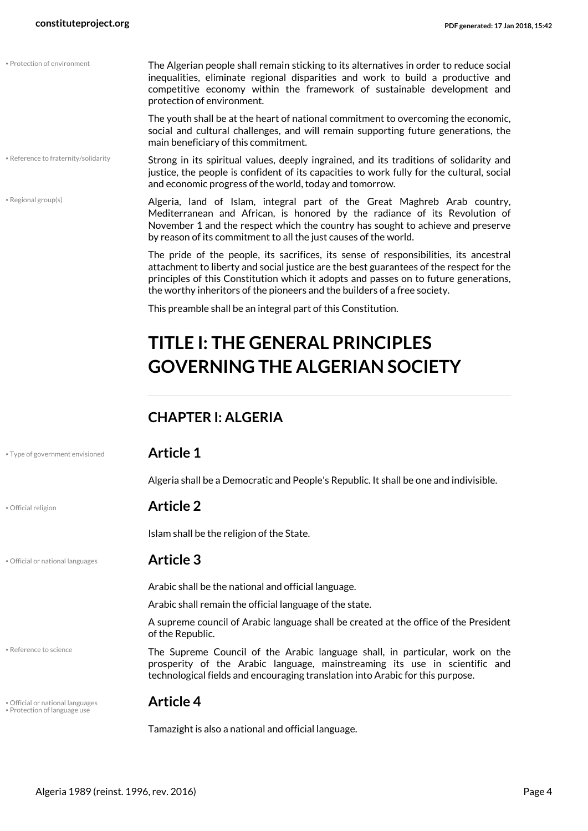• Protection of environment

<span id="page-3-8"></span><span id="page-3-7"></span><span id="page-3-5"></span><span id="page-3-3"></span><span id="page-3-2"></span>

|                                                                  | main beneficiary of this commitment.                                                                                                                                                                                                                                                                                                                  |  |  |
|------------------------------------------------------------------|-------------------------------------------------------------------------------------------------------------------------------------------------------------------------------------------------------------------------------------------------------------------------------------------------------------------------------------------------------|--|--|
| • Reference to fraternity/solidarity                             | Strong in its spiritual values, deeply ingrained, and its traditions of solidarity and<br>justice, the people is confident of its capacities to work fully for the cultural, social<br>and economic progress of the world, today and tomorrow.                                                                                                        |  |  |
| • Regional group(s)                                              | Algeria, land of Islam, integral part of the Great Maghreb Arab country,<br>Mediterranean and African, is honored by the radiance of its Revolution of<br>November 1 and the respect which the country has sought to achieve and preserve<br>by reason of its commitment to all the just causes of the world.                                         |  |  |
|                                                                  | The pride of the people, its sacrifices, its sense of responsibilities, its ancestral<br>attachment to liberty and social justice are the best guarantees of the respect for the<br>principles of this Constitution which it adopts and passes on to future generations,<br>the worthy inheritors of the pioneers and the builders of a free society. |  |  |
|                                                                  | This preamble shall be an integral part of this Constitution.                                                                                                                                                                                                                                                                                         |  |  |
|                                                                  | <b>TITLE I: THE GENERAL PRINCIPLES</b>                                                                                                                                                                                                                                                                                                                |  |  |
|                                                                  | <b>GOVERNING THE ALGERIAN SOCIETY</b>                                                                                                                                                                                                                                                                                                                 |  |  |
|                                                                  |                                                                                                                                                                                                                                                                                                                                                       |  |  |
|                                                                  | <b>CHAPTER I: ALGERIA</b>                                                                                                                                                                                                                                                                                                                             |  |  |
| • Type of government envisioned                                  | <b>Article 1</b>                                                                                                                                                                                                                                                                                                                                      |  |  |
|                                                                  | Algeria shall be a Democratic and People's Republic. It shall be one and indivisible.                                                                                                                                                                                                                                                                 |  |  |
|                                                                  |                                                                                                                                                                                                                                                                                                                                                       |  |  |
| · Official religion                                              | <b>Article 2</b>                                                                                                                                                                                                                                                                                                                                      |  |  |
|                                                                  | Islam shall be the religion of the State.                                                                                                                                                                                                                                                                                                             |  |  |
| · Official or national languages                                 | <b>Article 3</b>                                                                                                                                                                                                                                                                                                                                      |  |  |
|                                                                  | Arabic shall be the national and official language.                                                                                                                                                                                                                                                                                                   |  |  |
|                                                                  | Arabic shall remain the official language of the state.                                                                                                                                                                                                                                                                                               |  |  |
|                                                                  | A supreme council of Arabic language shall be created at the office of the President<br>of the Republic.                                                                                                                                                                                                                                              |  |  |
| • Reference to science                                           | The Supreme Council of the Arabic language shall, in particular, work on the<br>prosperity of the Arabic language, mainstreaming its use in scientific and<br>technological fields and encouraging translation into Arabic for this purpose.                                                                                                          |  |  |
| · Official or national languages<br>• Protection of language use | <b>Article 4</b>                                                                                                                                                                                                                                                                                                                                      |  |  |

protection of environment.

<span id="page-3-4"></span>The Algerian people shall remain sticking to its alternatives in order to reduce social inequalities, eliminate regional disparities and work to build a productive and competitive economy within the framework of sustainable development and

<span id="page-3-9"></span><span id="page-3-6"></span><span id="page-3-1"></span><span id="page-3-0"></span>The youth shall be at the heart of national commitment to overcoming the economic,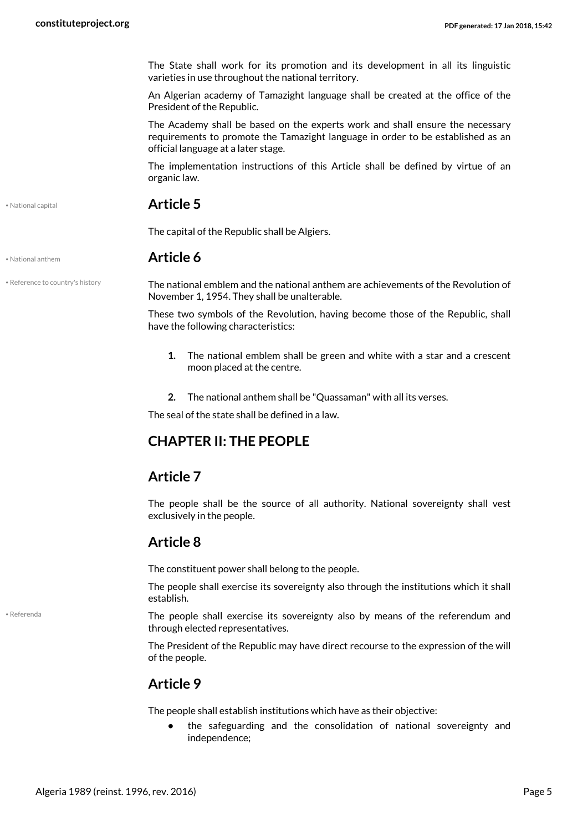The State shall work for its promotion and its development in all its linguistic varieties in use throughout the national territory.

An Algerian academy of Tamazight language shall be created at the office of the President of the Republic.

The Academy shall be based on the experts work and shall ensure the necessary requirements to promote the Tamazight language in order to be established as an official language at a later stage.

The implementation instructions of this Article shall be defined by virtue of an organic law.

<span id="page-4-2"></span>• National capital **Article 5**

The capital of the Republic shall be Algiers.

<span id="page-4-1"></span>• National anthem **Article 6**

• Reference to country's history

<span id="page-4-3"></span>The national emblem and the national anthem are achievements of the Revolution of November 1, 1954. They shall be unalterable.

These two symbols of the Revolution, having become those of the Republic, shall have the following characteristics:

- **1.** The national emblem shall be green and white with a star and a crescent moon placed at the centre.
- <span id="page-4-0"></span>**2.** The national anthem shall be "Quassaman" with all its verses.

The seal of the state shall be defined in a law.

### **CHAPTER II: THE PEOPLE**

#### **Article 7**

The people shall be the source of all authority. National sovereignty shall vest exclusively in the people.

#### **Article 8**

The constituent power shall belong to the people.

The people shall exercise its sovereignty also through the institutions which it shall establish.

The people shall exercise its sovereignty also by means of the referendum and through elected representatives.

The President of the Republic may have direct recourse to the expression of the will of the people.

### **Article 9**

The people shall establish institutions which have as their objective:

**•** the safeguarding and the consolidation of national sovereignty and independence;

<span id="page-4-4"></span>• Referenda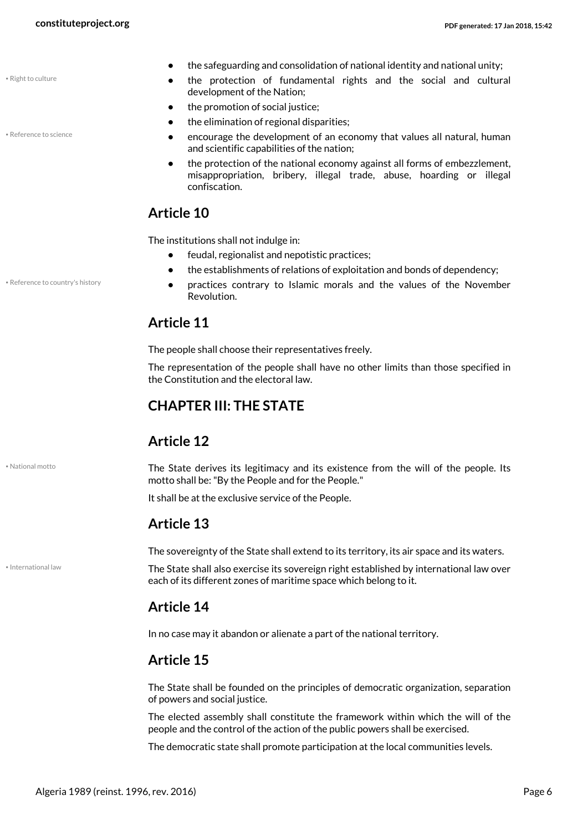<span id="page-5-5"></span>• Right to culture

<span id="page-5-4"></span>• Reference to science

• Reference to country's history

<span id="page-5-2"></span>• National motto

<span id="page-5-1"></span>• International law

- **•** the safeguarding and consolidation of national identity and national unity;
	- **•** the protection of fundamental rights and the social and cultural development of the Nation;
- the promotion of social justice:
- **•** the elimination of regional disparities;
- **•** encourage the development of an economy that values all natural, human and scientific capabilities of the nation;
- **•** the protection of the national economy against all forms of embezzlement, misappropriation, bribery, illegal trade, abuse, hoarding or illegal confiscation.

### **Article 10**

The institutions shall not indulge in:

- **•** feudal, regionalist and nepotistic practices;
- **•** the establishments of relations of exploitation and bonds of dependency;
- **•** practices contrary to Islamic morals and the values of the November Revolution.

#### <span id="page-5-3"></span>**Article 11**

The people shall choose their representatives freely.

The representation of the people shall have no other limits than those specified in the Constitution and the electoral law.

### <span id="page-5-0"></span>**CHAPTER III: THE STATE**

#### **Article 12**

The State derives its legitimacy and its existence from the will of the people. Its motto shall be: "By the People and for the People."

It shall be at the exclusive service of the People.

### **Article 13**

The sovereignty of the State shall extend to its territory, its air space and its waters.

The State shall also exercise its sovereign right established by international law over each of its different zones of maritime space which belong to it.

#### **Article 14**

In no case may it abandon or alienate a part of the national territory.

### **Article 15**

The State shall be founded on the principles of democratic organization, separation of powers and social justice.

The elected assembly shall constitute the framework within which the will of the people and the control of the action of the public powers shall be exercised.

The democratic state shall promote participation at the local communities levels.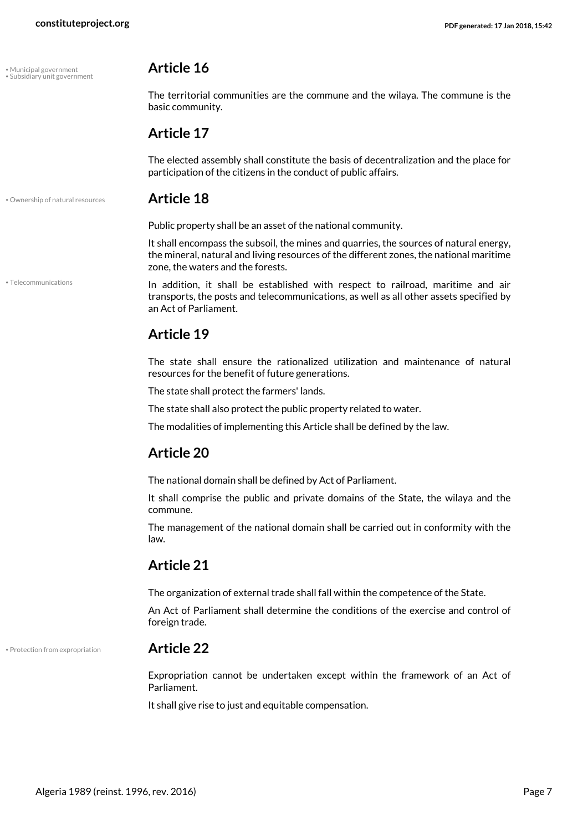<span id="page-6-0"></span>• Municipal government **Article 16** • Subsidiary unit government

<span id="page-6-4"></span>• Telecommunications

<span id="page-6-3"></span>The territorial communities are the commune and the wilaya. The commune is the basic community.

#### **Article 17**

The elected assembly shall constitute the basis of decentralization and the place for participation of the citizens in the conduct of public affairs.

#### • Ownership of natural resources **Article 18**

<span id="page-6-1"></span>Public property shall be an asset of the national community.

It shall encompass the subsoil, the mines and quarries, the sources of natural energy, the mineral, natural and living resources of the different zones, the national maritime zone, the waters and the forests.

In addition, it shall be established with respect to railroad, maritime and air transports, the posts and telecommunications, as well as all other assets specified by an Act of Parliament.

### **Article 19**

The state shall ensure the rationalized utilization and maintenance of natural resources for the benefit of future generations.

The state shall protect the farmers' lands.

The state shall also protect the public property related to water.

The modalities of implementing this Article shall be defined by the law.

#### **Article 20**

The national domain shall be defined by Act of Parliament.

It shall comprise the public and private domains of the State, the wilaya and the commune.

The management of the national domain shall be carried out in conformity with the law.

#### **Article 21**

The organization of external trade shall fall within the competence of the State.

An Act of Parliament shall determine the conditions of the exercise and control of foreign trade.

• Protection from expropriation **Article 22**

<span id="page-6-2"></span>Expropriation cannot be undertaken except within the framework of an Act of Parliament.

It shall give rise to just and equitable compensation.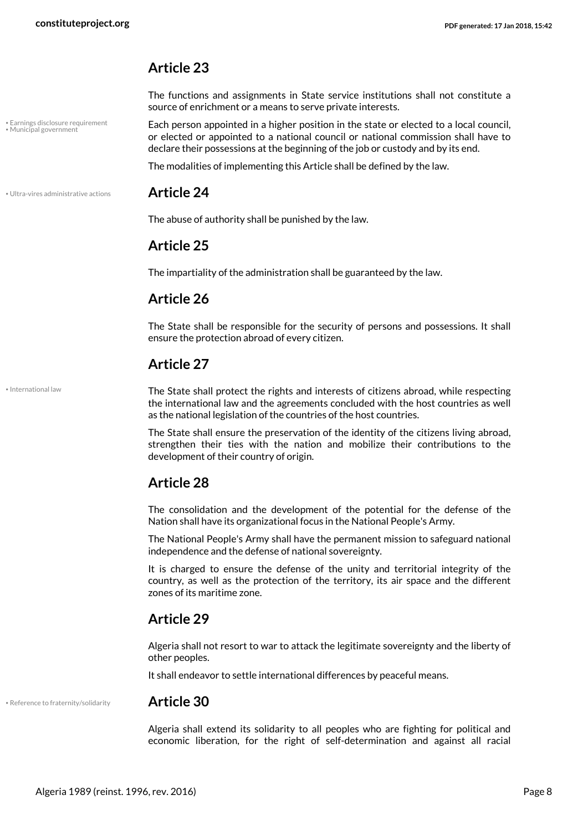• Earnings disclosure requirement • Municipal government

#### **Article 23**

The functions and assignments in State service institutions shall not constitute a source of enrichment or a means to serve private interests.

<span id="page-7-2"></span><span id="page-7-0"></span>Each person appointed in a higher position in the state or elected to a local council, or elected or appointed to a national council or national commission shall have to declare their possessions at the beginning of the job or custody and by its end.

The modalities of implementing this Article shall be defined by the law.

#### • Ultra-vires administrative actions **Article 24**

<span id="page-7-4"></span>The abuse of authority shall be punished by the law.

#### **Article 25**

The impartiality of the administration shall be guaranteed by the law.

#### **Article 26**

The State shall be responsible for the security of persons and possessions. It shall ensure the protection abroad of every citizen.

#### **Article 27**

<span id="page-7-1"></span>• International law

The State shall protect the rights and interests of citizens abroad, while respecting the international law and the agreements concluded with the host countries as well as the national legislation of the countries of the host countries.

The State shall ensure the preservation of the identity of the citizens living abroad, strengthen their ties with the nation and mobilize their contributions to the development of their country of origin.

#### **Article 28**

The consolidation and the development of the potential for the defense of the Nation shall have its organizational focus in the National People's Army.

The National People's Army shall have the permanent mission to safeguard national independence and the defense of national sovereignty.

It is charged to ensure the defense of the unity and territorial integrity of the country, as well as the protection of the territory, its air space and the different zones of its maritime zone.

#### **Article 29**

Algeria shall not resort to war to attack the legitimate sovereignty and the liberty of other peoples.

It shall endeavor to settle international differences by peaceful means.

• Reference to fraternity/solidarity **Article 30**

<span id="page-7-3"></span>Algeria shall extend its solidarity to all peoples who are fighting for political and economic liberation, for the right of self-determination and against all racial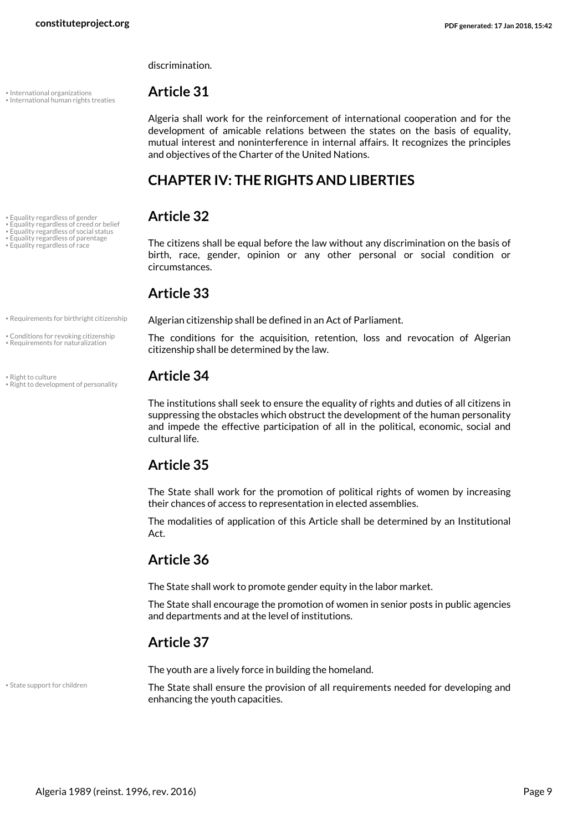discrimination.

## • International organizations **Article 31** • International human rights treaties

• Equality regardless of social status • Equality regardless of parentage

<span id="page-8-8"></span><span id="page-8-7"></span>

Algeria shall work for the reinforcement of international cooperation and for the development of amicable relations between the states on the basis of equality, mutual interest and noninterference in internal affairs. It recognizes the principles and objectives of the Charter of the United Nations.

## <span id="page-8-6"></span><span id="page-8-3"></span><span id="page-8-2"></span><span id="page-8-0"></span>**CHAPTER IV: THE RIGHTS AND LIBERTIES**

## • Equality regardless of gender **Article 32** • Equality regardless of creed or belief

• Equality regardless of parentage The citizens shall be equal before the law without any discrimination on the basis of birth, race, gender, opinion or any other personal or social condition or circumstances.

### <span id="page-8-5"></span><span id="page-8-4"></span>**Article 33**

. Requirements for birthright citizenship **Algerian citizenship shall be defined in an Act of Parliament.** 

<span id="page-8-10"></span><span id="page-8-9"></span><span id="page-8-1"></span>The conditions for the acquisition, retention, loss and revocation of Algerian citizenship shall be determined by the law.

<span id="page-8-12"></span>The institutions shall seek to ensure the equality of rights and duties of all citizens in suppressing the obstacles which obstruct the development of the human personality and impede the effective participation of all in the political, economic, social and cultural life.

### **Article 35**

The State shall work for the promotion of political rights of women by increasing their chances of access to representation in elected assemblies.

The modalities of application of this Article shall be determined by an Institutional Act.

## **Article 36**

The State shall work to promote gender equity in the labor market.

The State shall encourage the promotion of women in senior posts in public agencies and departments and at the level of institutions.

### **Article 37**

<span id="page-8-13"></span>The youth are a lively force in building the homeland.

• State support for children

The State shall ensure the provision of all requirements needed for developing and enhancing the youth capacities.

• Conditions for revoking citizenship • Requirements for naturalization

<span id="page-8-11"></span>• Right to culture **Article 34** • Right to development of personality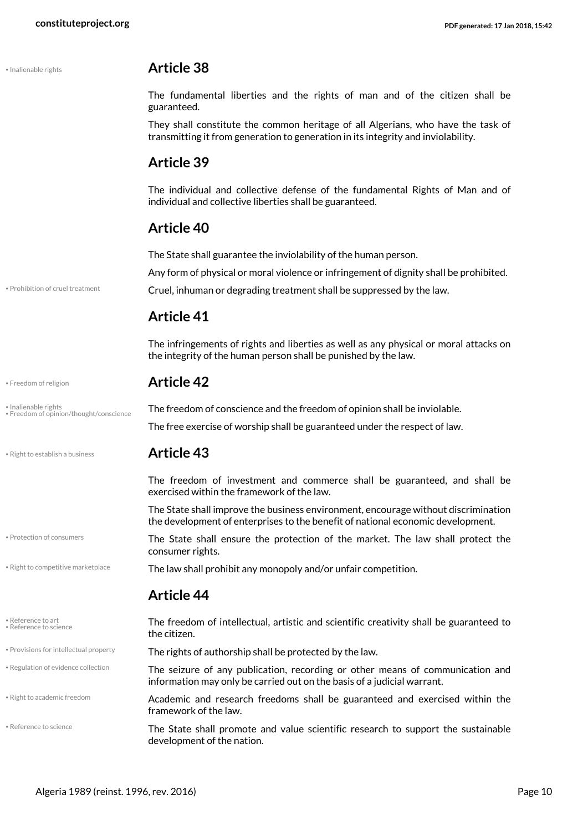#### • Inalienable rights **Article 38**

The fundamental liberties and the rights of man and of the citizen shall be guaranteed.

They shall constitute the common heritage of all Algerians, who have the task of transmitting it from generation to generation in its integrity and inviolability.

#### **Article 39**

The individual and collective defense of the fundamental Rights of Man and of individual and collective liberties shall be guaranteed.

#### **Article 40**

The State shall guarantee the inviolability of the human person.

<span id="page-9-3"></span>Any form of physical or moral violence or infringement of dignity shall be prohibited.

• Prohibition of cruel treatment **Cruel, inhuman or degrading treatment shall be suppressed by the law.** 

### **Article 41**

The infringements of rights and liberties as well as any physical or moral attacks on the integrity of the human person shall be punished by the law.

#### <span id="page-9-1"></span>• Freedom of religion **Article 42**

<span id="page-9-2"></span>• Inalienable rights **Integration of the freedom of conscience and the freedom of opinion shall be inviolable.** • Freedom of opinion/thought/conscience The free exercise of worship shall be guaranteed under the respect of law.

• Protection of consumers

Reference to art • Reference to science

• Regulation of evidence collection

#### • Right to establish a business **Article 43**

<span id="page-9-11"></span><span id="page-9-0"></span>The freedom of investment and commerce shall be guaranteed, and shall be exercised within the framework of the law.

The State shall improve the business environment, encourage without discrimination the development of enterprises to the benefit of national economic development.

<span id="page-9-10"></span><span id="page-9-4"></span>The State shall ensure the protection of the market. The law shall protect the consumer rights.

. Right to competitive marketplace **The law shall prohibit any monopoly and/or unfair competition.** 

#### **Article 44**

<span id="page-9-9"></span><span id="page-9-8"></span><span id="page-9-6"></span><span id="page-9-5"></span>The freedom of intellectual, artistic and scientific creativity shall be guaranteed to the citizen.

- . Provisions for intellectual property **The rights of authorship shall be protected by the law.** 
	- The seizure of any publication, recording or other means of communication and information may only be carried out on the basis of a judicial warrant.

Academic and research freedoms shall be guaranteed and exercised within the framework of the law. • Right to academic freedom

<span id="page-9-7"></span>The State shall promote and value scientific research to support the sustainable development of the nation. • Reference to science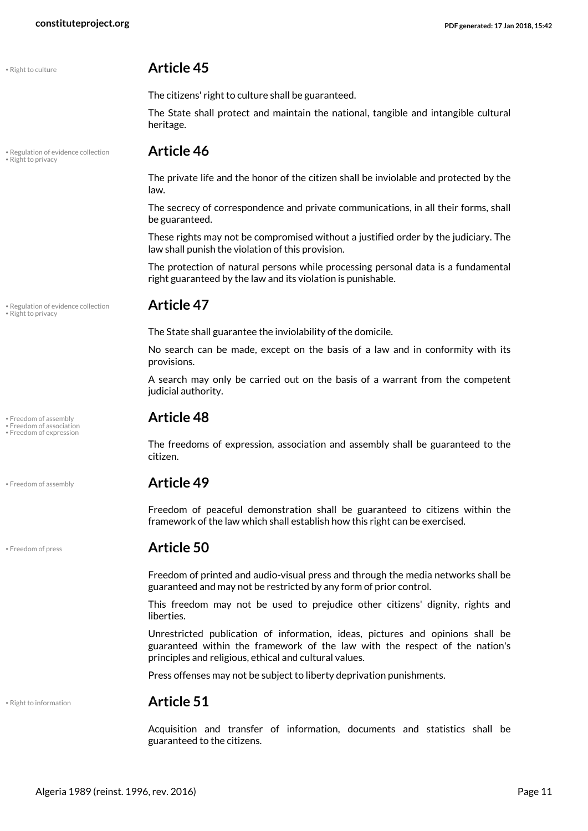<span id="page-10-5"></span>

#### • Right to culture **Article 45**

The citizens' right to culture shall be guaranteed.

The State shall protect and maintain the national, tangible and intangible cultural heritage.

## • Regulation of evidence collection **Article 46** • Right to privacy

The private life and the honor of the citizen shall be inviolable and protected by the law.

The secrecy of correspondence and private communications, in all their forms, shall be guaranteed.

These rights may not be compromised without a justified order by the judiciary. The law shall punish the violation of this provision.

The protection of natural persons while processing personal data is a fundamental right guaranteed by the law and its violation is punishable.

<span id="page-10-7"></span>• Regulation of evidence collection **Article 47** • Right to privacy

<span id="page-10-0"></span>

<span id="page-10-3"></span>

<span id="page-10-4"></span>The State shall guarantee the inviolability of the domicile.

No search can be made, except on the basis of a law and in conformity with its provisions.

A search may only be carried out on the basis of a warrant from the competent judicial authority.

## • Freedom of assembly **Article 48** • Freedom of association • Freedom of expression

<span id="page-10-2"></span><span id="page-10-1"></span>The freedoms of expression, association and assembly shall be guaranteed to the citizen.

#### • Freedom of assembly **Article 49**

Freedom of peaceful demonstration shall be guaranteed to citizens within the framework of the law which shall establish how this right can be exercised.

#### • Freedom of press **Article 50**

Freedom of printed and audio-visual press and through the media networks shall be guaranteed and may not be restricted by any form of prior control.

This freedom may not be used to prejudice other citizens' dignity, rights and liberties.

Unrestricted publication of information, ideas, pictures and opinions shall be guaranteed within the framework of the law with the respect of the nation's principles and religious, ethical and cultural values.

Press offenses may not be subject to liberty deprivation punishments.

<span id="page-10-6"></span>

#### • Right to information **Article 51**

Acquisition and transfer of information, documents and statistics shall be guaranteed to the citizens.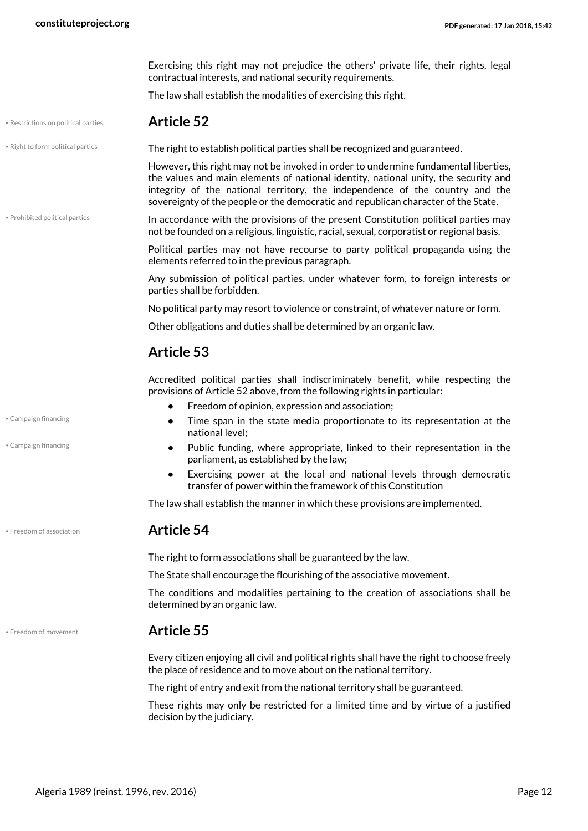Exercising this right may not prejudice the others' private life, their rights, legal contractual interests, and national security requirements.

<span id="page-11-4"></span>The law shall establish the modalities of exercising this right.

#### • Restrictions on political parties **Article 52**

• Right to form political parties **The right to establish political parties shall be recognized and guaranteed.** 

<span id="page-11-5"></span>However, this right may not be invoked in order to undermine fundamental liberties, the values and main elements of national identity, national unity, the security and integrity of the national territory, the independence of the country and the sovereignty of the people or the democratic and republican character of the State.

In accordance with the provisions of the present Constitution political parties may not be founded on a religious, linguistic, racial, sexual, corporatist or regional basis. • Prohibited political parties

> <span id="page-11-3"></span>Political parties may not have recourse to party political propaganda using the elements referred to in the previous paragraph.

> Any submission of political parties, under whatever form, to foreign interests or parties shall be forbidden.

No political party may resort to violence or constraint, of whatever nature or form.

Other obligations and duties shall be determined by an organic law.

#### **Article 53**

Accredited political parties shall indiscriminately benefit, while respecting the provisions of Article 52 above, from the following rights in particular:

- **•** Freedom of opinion, expression and association;
- **•** Time span in the state media proportionate to its representation at the national level;
- **•** Public funding, where appropriate, linked to their representation in the parliament, as established by the law;
- **•** Exercising power at the local and national levels through democratic transfer of power within the framework of this Constitution

The law shall establish the manner in which these provisions are implemented.

#### • Freedom of association **Article 54**

<span id="page-11-1"></span>The right to form associations shall be guaranteed by the law.

The State shall encourage the flourishing of the associative movement.

The conditions and modalities pertaining to the creation of associations shall be determined by an organic law.

#### • Freedom of movement **Article 55**

Every citizen enjoying all civil and political rights shall have the right to choose freely the place of residence and to move about on the national territory.

The right of entry and exit from the national territory shall be guaranteed.

These rights may only be restricted for a limited time and by virtue of a justified decision by the judiciary.

• Campaign financing

<span id="page-11-0"></span>• Campaign financing

<span id="page-11-2"></span>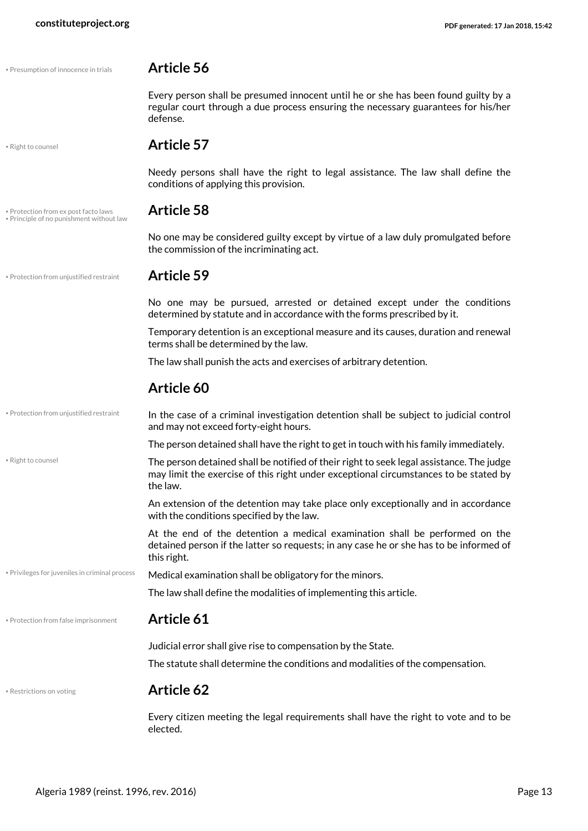<span id="page-12-3"></span><span id="page-12-1"></span><span id="page-12-0"></span>

| · Presumption of innocence in trials                                             | Article 56                                                                                                                                                                                   |  |  |
|----------------------------------------------------------------------------------|----------------------------------------------------------------------------------------------------------------------------------------------------------------------------------------------|--|--|
|                                                                                  | Every person shall be presumed innocent until he or she has been found guilty by a<br>regular court through a due process ensuring the necessary guarantees for his/her<br>defense.          |  |  |
| · Right to counsel                                                               | <b>Article 57</b>                                                                                                                                                                            |  |  |
|                                                                                  | Needy persons shall have the right to legal assistance. The law shall define the<br>conditions of applying this provision.                                                                   |  |  |
| . Protection from ex post facto laws<br>. Principle of no punishment without law | <b>Article 58</b>                                                                                                                                                                            |  |  |
|                                                                                  | No one may be considered guilty except by virtue of a law duly promulgated before<br>the commission of the incriminating act.                                                                |  |  |
| · Protection from unjustified restraint                                          | <b>Article 59</b>                                                                                                                                                                            |  |  |
|                                                                                  | No one may be pursued, arrested or detained except under the conditions<br>determined by statute and in accordance with the forms prescribed by it.                                          |  |  |
|                                                                                  | Temporary detention is an exceptional measure and its causes, duration and renewal<br>terms shall be determined by the law.                                                                  |  |  |
|                                                                                  | The law shall punish the acts and exercises of arbitrary detention.                                                                                                                          |  |  |
|                                                                                  | Article 60                                                                                                                                                                                   |  |  |
| • Protection from unjustified restraint                                          | In the case of a criminal investigation detention shall be subject to judicial control<br>and may not exceed forty-eight hours.                                                              |  |  |
|                                                                                  | The person detained shall have the right to get in touch with his family immediately.                                                                                                        |  |  |
| · Right to counsel                                                               | The person detained shall be notified of their right to seek legal assistance. The judge<br>may limit the exercise of this right under exceptional circumstances to be stated by<br>the law. |  |  |
|                                                                                  | An extension of the detention may take place only exceptionally and in accordance<br>with the conditions specified by the law.                                                               |  |  |
|                                                                                  | At the end of the detention a medical examination shall be performed on the<br>detained person if the latter so requests; in any case he or she has to be informed of<br>this right.         |  |  |
| • Privileges for juveniles in criminal process                                   | Medical examination shall be obligatory for the minors.                                                                                                                                      |  |  |
|                                                                                  | The law shall define the modalities of implementing this article.                                                                                                                            |  |  |
| · Protection from false imprisonment                                             | <b>Article 61</b>                                                                                                                                                                            |  |  |
|                                                                                  | Judicial error shall give rise to compensation by the State.                                                                                                                                 |  |  |
|                                                                                  | The statute shall determine the conditions and modalities of the compensation.                                                                                                               |  |  |
| • Restrictions on voting                                                         | <b>Article 62</b>                                                                                                                                                                            |  |  |
|                                                                                  |                                                                                                                                                                                              |  |  |

<span id="page-12-7"></span><span id="page-12-6"></span><span id="page-12-5"></span><span id="page-12-4"></span><span id="page-12-2"></span>Every citizen meeting the legal requirements shall have the right to vote and to be elected.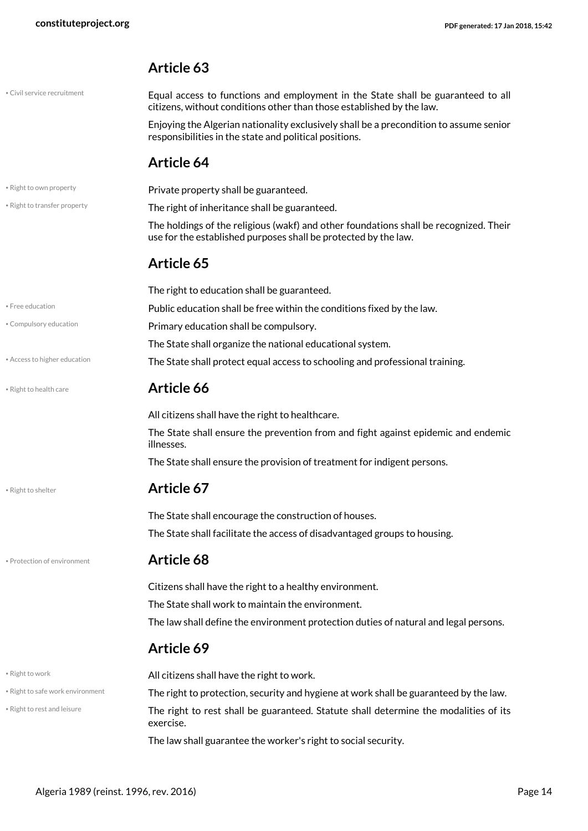#### **Article 63**

| • Civil service recruitment |
|-----------------------------|
|-----------------------------|

<span id="page-13-1"></span>Equal access to functions and employment in the State shall be guaranteed to all citizens, without conditions other than those established by the law.

Enjoying the Algerian nationality exclusively shall be a precondition to assume senior responsibilities in the state and political positions.

#### <span id="page-13-10"></span>**Article 64**

<span id="page-13-11"></span><span id="page-13-9"></span><span id="page-13-8"></span><span id="page-13-7"></span><span id="page-13-6"></span><span id="page-13-5"></span><span id="page-13-4"></span><span id="page-13-3"></span><span id="page-13-2"></span><span id="page-13-0"></span>

| . Right to own property          | Private property shall be guaranteed.                                                                                                                    |  |  |  |  |
|----------------------------------|----------------------------------------------------------------------------------------------------------------------------------------------------------|--|--|--|--|
| . Right to transfer property     | The right of inheritance shall be guaranteed.                                                                                                            |  |  |  |  |
|                                  | The holdings of the religious (wakf) and other foundations shall be recognized. Their<br>use for the established purposes shall be protected by the law. |  |  |  |  |
|                                  | Article 65                                                                                                                                               |  |  |  |  |
|                                  | The right to education shall be guaranteed.                                                                                                              |  |  |  |  |
| • Free education                 | Public education shall be free within the conditions fixed by the law.                                                                                   |  |  |  |  |
| • Compulsory education           | Primary education shall be compulsory.                                                                                                                   |  |  |  |  |
|                                  | The State shall organize the national educational system.                                                                                                |  |  |  |  |
| • Access to higher education     | The State shall protect equal access to schooling and professional training.                                                                             |  |  |  |  |
| · Right to health care           | Article 66                                                                                                                                               |  |  |  |  |
|                                  | All citizens shall have the right to healthcare.                                                                                                         |  |  |  |  |
|                                  | The State shall ensure the prevention from and fight against epidemic and endemic<br>illnesses.                                                          |  |  |  |  |
|                                  | The State shall ensure the provision of treatment for indigent persons.                                                                                  |  |  |  |  |
| • Right to shelter               | Article 67                                                                                                                                               |  |  |  |  |
|                                  | The State shall encourage the construction of houses.                                                                                                    |  |  |  |  |
|                                  | The State shall facilitate the access of disadvantaged groups to housing.                                                                                |  |  |  |  |
| · Protection of environment      | Article 68                                                                                                                                               |  |  |  |  |
|                                  | Citizens shall have the right to a healthy environment.                                                                                                  |  |  |  |  |
|                                  | The State shall work to maintain the environment.                                                                                                        |  |  |  |  |
|                                  | The law shall define the environment protection duties of natural and legal persons.                                                                     |  |  |  |  |
|                                  | Article 69                                                                                                                                               |  |  |  |  |
| · Right to work                  | All citizens shall have the right to work.                                                                                                               |  |  |  |  |
| . Right to safe work environment | The right to protection, security and hygiene at work shall be guaranteed by the law.                                                                    |  |  |  |  |
| · Right to rest and leisure      | The right to rest shall be guaranteed. Statute shall determine the modalities of its<br>exercise.                                                        |  |  |  |  |
|                                  | The law shall guarantee the worker's right to social security.                                                                                           |  |  |  |  |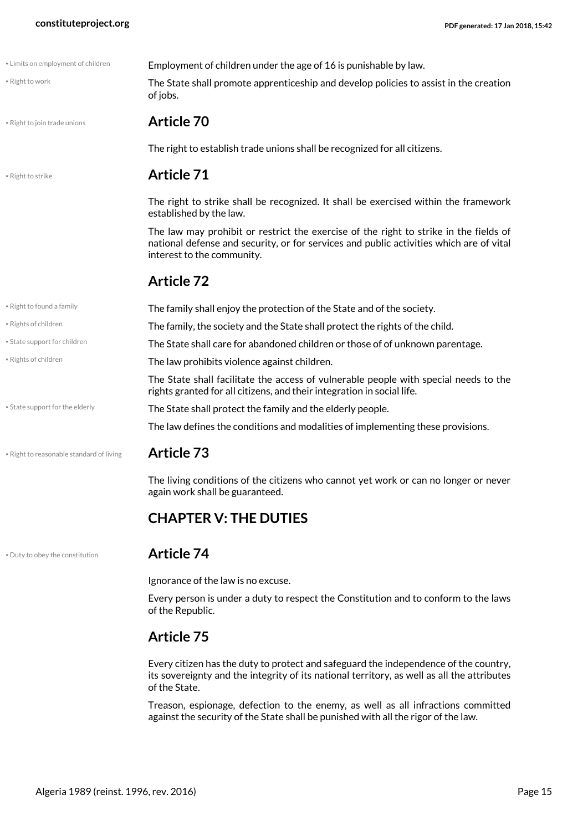<span id="page-14-7"></span><span id="page-14-6"></span><span id="page-14-4"></span><span id="page-14-2"></span>

| · Limits on employment of children       | Employment of children under the age of 16 is punishable by law.                                                                                                                                               |
|------------------------------------------|----------------------------------------------------------------------------------------------------------------------------------------------------------------------------------------------------------------|
| · Right to work                          | The State shall promote apprenticeship and develop policies to assist in the creation<br>of jobs.                                                                                                              |
| . Right to join trade unions             | <b>Article 70</b>                                                                                                                                                                                              |
|                                          | The right to establish trade unions shall be recognized for all citizens.                                                                                                                                      |
| · Right to strike                        | <b>Article 71</b>                                                                                                                                                                                              |
|                                          | The right to strike shall be recognized. It shall be exercised within the framework<br>established by the law.                                                                                                 |
|                                          | The law may prohibit or restrict the exercise of the right to strike in the fields of<br>national defense and security, or for services and public activities which are of vital<br>interest to the community. |
|                                          | <b>Article 72</b>                                                                                                                                                                                              |
| • Right to found a family                | The family shall enjoy the protection of the State and of the society.                                                                                                                                         |
| · Rights of children                     | The family, the society and the State shall protect the rights of the child.                                                                                                                                   |
| • State support for children             | The State shall care for abandoned children or those of of unknown parentage.                                                                                                                                  |
| · Rights of children                     | The law prohibits violence against children.                                                                                                                                                                   |
|                                          | The State shall facilitate the access of vulnerable people with special needs to the<br>rights granted for all citizens, and their integration in social life.                                                 |
| • State support for the elderly          | The State shall protect the family and the elderly people.                                                                                                                                                     |
|                                          | The law defines the conditions and modalities of implementing these provisions.                                                                                                                                |
| . Right to reasonable standard of living | <b>Article 73</b>                                                                                                                                                                                              |
|                                          | The living conditions of the citizens who cannot yet work or can no longer or never<br>again work shall be guaranteed.                                                                                         |
|                                          | <b>CHAPTER V: THE DUTIES</b>                                                                                                                                                                                   |

#### <span id="page-14-10"></span><span id="page-14-9"></span><span id="page-14-8"></span><span id="page-14-3"></span>• Duty to obey the constitution **Article 74**

<span id="page-14-5"></span><span id="page-14-1"></span><span id="page-14-0"></span>Ignorance of the law is no excuse.

Every person is under a duty to respect the Constitution and to conform to the laws of the Republic.

#### **Article 75**

Every citizen has the duty to protect and safeguard the independence of the country, its sovereignty and the integrity of its national territory, as well as all the attributes of the State.

Treason, espionage, defection to the enemy, as well as all infractions committed against the security of the State shall be punished with all the rigor of the law.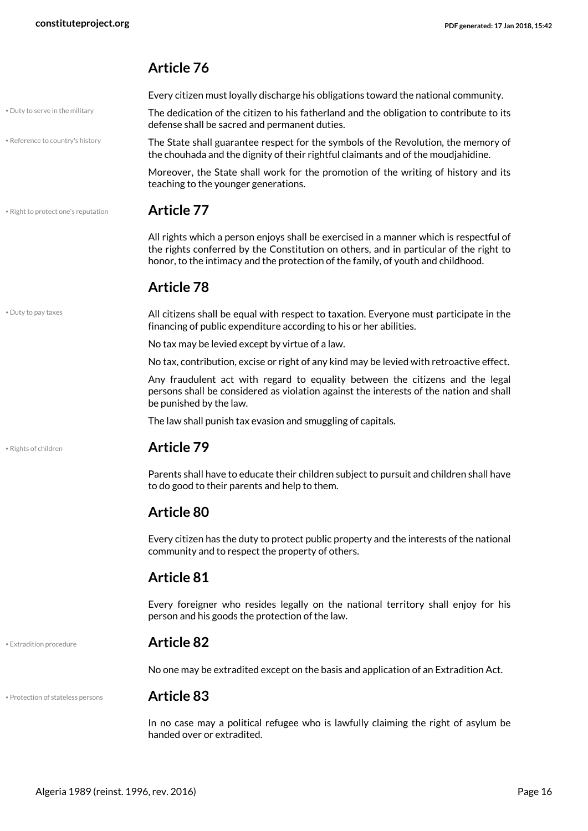### <span id="page-15-5"></span><span id="page-15-4"></span><span id="page-15-1"></span>**Article 76**

<span id="page-15-0"></span>

|                                     | Every citizen must loyally discharge his obligations toward the national community.                                                                                                                                                                                 |
|-------------------------------------|---------------------------------------------------------------------------------------------------------------------------------------------------------------------------------------------------------------------------------------------------------------------|
| . Duty to serve in the military     | The dedication of the citizen to his fatherland and the obligation to contribute to its<br>defense shall be sacred and permanent duties.                                                                                                                            |
| • Reference to country's history    | The State shall guarantee respect for the symbols of the Revolution, the memory of<br>the chouhada and the dignity of their rightful claimants and of the moudjahidine.                                                                                             |
|                                     | Moreover, the State shall work for the promotion of the writing of history and its<br>teaching to the younger generations.                                                                                                                                          |
| • Right to protect one's reputation | <b>Article 77</b>                                                                                                                                                                                                                                                   |
|                                     | All rights which a person enjoys shall be exercised in a manner which is respectful of<br>the rights conferred by the Constitution on others, and in particular of the right to<br>honor, to the intimacy and the protection of the family, of youth and childhood. |
|                                     | <b>Article 78</b>                                                                                                                                                                                                                                                   |
| • Duty to pay taxes                 | All citizens shall be equal with respect to taxation. Everyone must participate in the<br>financing of public expenditure according to his or her abilities.                                                                                                        |
|                                     | No tax may be levied except by virtue of a law.                                                                                                                                                                                                                     |
|                                     | No tax, contribution, excise or right of any kind may be levied with retroactive effect.                                                                                                                                                                            |
|                                     | Any fraudulent act with regard to equality between the citizens and the legal<br>persons shall be considered as violation against the interests of the nation and shall<br>be punished by the law.                                                                  |
|                                     | The law shall punish tax evasion and smuggling of capitals.                                                                                                                                                                                                         |
| • Rights of children                | <b>Article 79</b>                                                                                                                                                                                                                                                   |
|                                     | Parents shall have to educate their children subject to pursuit and children shall have<br>to do good to their parents and help to them.                                                                                                                            |
|                                     | <b>Article 80</b>                                                                                                                                                                                                                                                   |
|                                     | Every citizen has the duty to protect public property and the interests of the national<br>community and to respect the property of others.                                                                                                                         |
|                                     | <b>Article 81</b>                                                                                                                                                                                                                                                   |
|                                     | Every foreigner who resides legally on the national territory shall enjoy for his<br>person and his goods the protection of the law.                                                                                                                                |
| • Extradition procedure             | <b>Article 82</b>                                                                                                                                                                                                                                                   |
|                                     | No one may be extradited except on the basis and application of an Extradition Act.                                                                                                                                                                                 |
| • Protection of stateless persons   | <b>Article 83</b>                                                                                                                                                                                                                                                   |
|                                     |                                                                                                                                                                                                                                                                     |

<span id="page-15-6"></span><span id="page-15-3"></span><span id="page-15-2"></span>In no case may a political refugee who is lawfully claiming the right of asylum be handed over or extradited.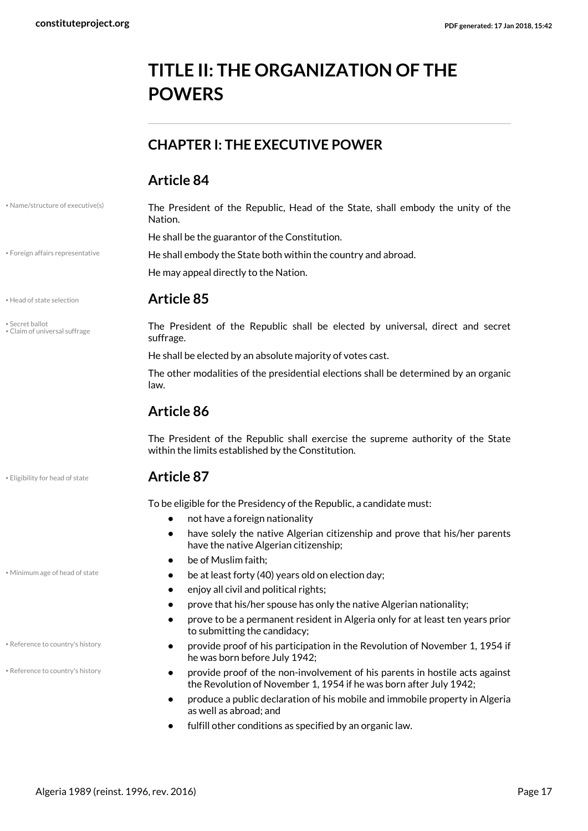## <span id="page-16-0"></span>**TITLE II: THE ORGANIZATION OF THE POWERS**

### <span id="page-16-1"></span>**CHAPTER I: THE EXECUTIVE POWER**

#### **Article 84**

|  |  | • Name/structure of executive(s) |  |
|--|--|----------------------------------|--|
|  |  |                                  |  |

<span id="page-16-9"></span>• Secret ballot • Claim of universal suffrage

#### <span id="page-16-7"></span><span id="page-16-4"></span>The President of the Republic, Head of the State, shall embody the unity of the Nation.

He shall be the guarantor of the Constitution.

\* Foreign affairs representative **He shall embody the State both within the country and abroad.** 

<span id="page-16-5"></span>He may appeal directly to the Nation.

#### • Head of state selection **Article 85**

<span id="page-16-2"></span>The President of the Republic shall be elected by universal, direct and secret suffrage.

He shall be elected by an absolute majority of votes cast.

The other modalities of the presidential elections shall be determined by an organic law.

### **Article 86**

The President of the Republic shall exercise the supreme authority of the State within the limits established by the Constitution.

#### • Eligibility for head of state **Article 87**

<span id="page-16-3"></span>To be eligible for the Presidency of the Republic, a candidate must:

- **•** not have a foreign nationality
- **•** have solely the native Algerian citizenship and prove that his/her parents have the native Algerian citizenship;
- <span id="page-16-6"></span>**•** be of Muslim faith;
- Minimum age of head of state  **be at least forty (40) years old on election day;** 
	- **•** enjoy all civil and political rights;
	- **•** prove that his/her spouse has only the native Algerian nationality;
	- **•** prove to be a permanent resident in Algeria only for at least ten years prior to submitting the candidacy;
	- **•** provide proof of his participation in the Revolution of November 1, 1954 if he was born before July 1942;
	- **•** provide proof of the non-involvement of his parents in hostile acts against the Revolution of November 1, 1954 if he was born after July 1942;
	- **•** produce a public declaration of his mobile and immobile property in Algeria as well as abroad; and
	- **•** fulfill other conditions as specified by an organic law.

• Reference to country's history

<span id="page-16-8"></span>• Reference to country's history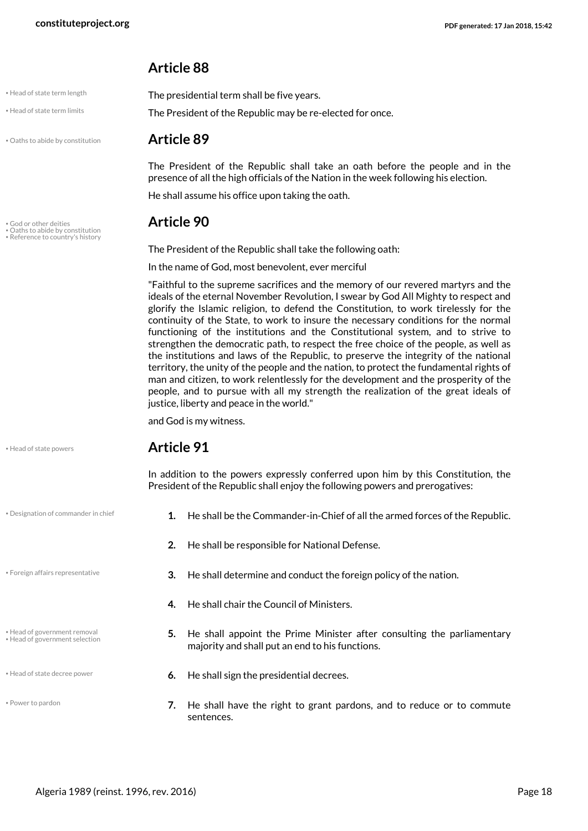#### **Article 88**

<span id="page-17-8"></span><span id="page-17-7"></span>The presidential term shall be five years.

| . Head of state term length |  |  |
|-----------------------------|--|--|

• Head of state term limits **The President of the Republic may be re-elected for once.** 

• Oaths to abide by constitution **Article 89**

<span id="page-17-2"></span>

• God or other deities **Article 90** • Oaths to abide by constitution

• Reference to country's histor

<span id="page-17-11"></span><span id="page-17-9"></span>The President of the Republic shall take the following oath:

In the name of God, most benevolent, ever merciful

He shall assume his office upon taking the oath.

"Faithful to the supreme sacrifices and the memory of our revered martyrs and the ideals of the eternal November Revolution, I swear by God All Mighty to respect and glorify the Islamic religion, to defend the Constitution, to work tirelessly for the continuity of the State, to work to insure the necessary conditions for the normal functioning of the institutions and the Constitutional system, and to strive to strengthen the democratic path, to respect the free choice of the people, as well as the institutions and laws of the Republic, to preserve the integrity of the national territory, the unity of the people and the nation, to protect the fundamental rights of man and citizen, to work relentlessly for the development and the prosperity of the people, and to pursue with all my strength the realization of the great ideals of justice, liberty and peace in the world."

The President of the Republic shall take an oath before the people and in the presence of all the high officials of the Nation in the week following his election.

and God is my witness.

#### <span id="page-17-6"></span>• Head of state powers **Article 91**

<span id="page-17-0"></span>In addition to the powers expressly conferred upon him by this Constitution, the President of the Republic shall enjoy the following powers and prerogatives:

- **•** Designation of commander in chief **1.** He shall be the Commander-in-Chief of all the armed forces of the Republic.
	- **2.** He shall be responsible for National Defense.
- <span id="page-17-1"></span>**3.** He shall determine and conduct the foreign policy of the nation. • Foreign affairs representative
	- **4.** He shall chair the Council of Ministers.
	- **5.** He shall appoint the Prime Minister after consulting the parliamentary majority and shall put an end to his functions.
- <span id="page-17-5"></span>• Head of state decree power **6.** He shall sign the presidential decrees.
	- **7.** He shall have the right to grant pardons, and to reduce or to commute sentences.

<span id="page-17-4"></span><span id="page-17-3"></span>• Head of government removal • Head of government selection

<span id="page-17-10"></span>• Power to pardon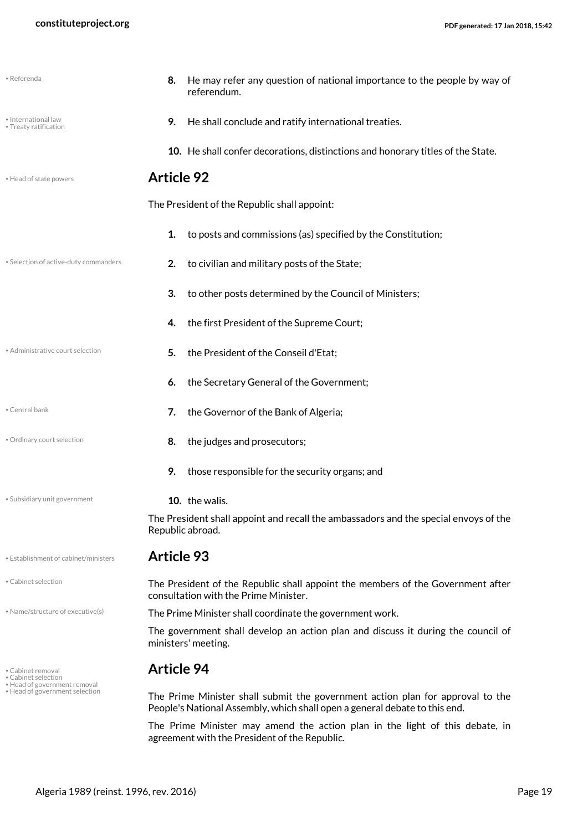<span id="page-18-14"></span><span id="page-18-13"></span><span id="page-18-12"></span><span id="page-18-11"></span><span id="page-18-10"></span><span id="page-18-9"></span><span id="page-18-8"></span><span id="page-18-7"></span><span id="page-18-6"></span><span id="page-18-5"></span><span id="page-18-4"></span><span id="page-18-3"></span><span id="page-18-2"></span><span id="page-18-1"></span><span id="page-18-0"></span>

| • Referenda                                                    | He may refer any question of national importance to the people by way of<br>8.<br>referendum.                                                                |  |  |
|----------------------------------------------------------------|--------------------------------------------------------------------------------------------------------------------------------------------------------------|--|--|
| · International law<br>• Treaty ratification                   | He shall conclude and ratify international treaties.<br>9.                                                                                                   |  |  |
|                                                                | 10. He shall confer decorations, distinctions and honorary titles of the State.                                                                              |  |  |
| • Head of state powers                                         | <b>Article 92</b>                                                                                                                                            |  |  |
|                                                                | The President of the Republic shall appoint:                                                                                                                 |  |  |
|                                                                | to posts and commissions (as) specified by the Constitution;<br>1.                                                                                           |  |  |
| • Selection of active-duty commanders                          | to civilian and military posts of the State;<br>2.                                                                                                           |  |  |
|                                                                | 3.<br>to other posts determined by the Council of Ministers;                                                                                                 |  |  |
|                                                                | the first President of the Supreme Court;<br>4.                                                                                                              |  |  |
| • Administrative court selection                               | the President of the Conseil d'Etat;<br>5.                                                                                                                   |  |  |
|                                                                | the Secretary General of the Government;<br>6.                                                                                                               |  |  |
| • Central bank                                                 | the Governor of the Bank of Algeria;<br>7.                                                                                                                   |  |  |
| • Ordinary court selection                                     | the judges and prosecutors;<br>8.                                                                                                                            |  |  |
|                                                                | those responsible for the security organs; and<br>9.                                                                                                         |  |  |
| • Subsidiary unit government                                   | 10. the walis.                                                                                                                                               |  |  |
|                                                                | The President shall appoint and recall the ambassadors and the special envoys of the<br>Republic abroad.                                                     |  |  |
| • Establishment of cabinet/ministers                           | <b>Article 93</b>                                                                                                                                            |  |  |
| • Cabinet selection                                            | The President of the Republic shall appoint the members of the Government after<br>consultation with the Prime Minister.                                     |  |  |
| • Name/structure of executive(s)                               | The Prime Minister shall coordinate the government work.                                                                                                     |  |  |
|                                                                | The government shall develop an action plan and discuss it during the council of<br>ministers' meeting.                                                      |  |  |
| • Cabinet removal<br>• Cabinet selection                       | <b>Article 94</b>                                                                                                                                            |  |  |
| • Head of government removal<br>• Head of government selection | The Prime Minister shall submit the government action plan for approval to the<br>People's National Assembly, which shall open a general debate to this end. |  |  |
|                                                                | The Prime Minister may amend the action plan in the light of this debate, in<br>agreement with the President of the Republic.                                |  |  |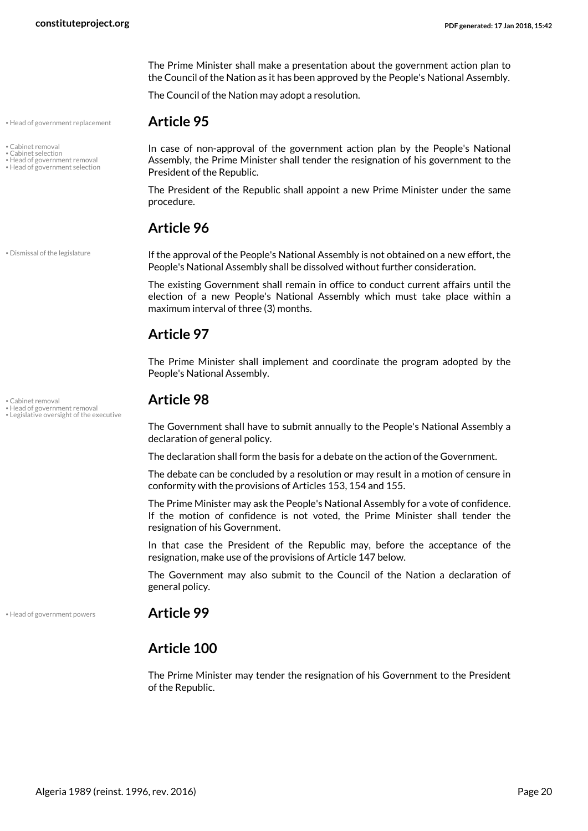The Prime Minister shall make a presentation about the government action plan to the Council of the Nation as it has been approved by the People's National Assembly.

In case of non-approval of the government action plan by the People's National Assembly, the Prime Minister shall tender the resignation of his government to the

The President of the Republic shall appoint a new Prime Minister under the same

<span id="page-19-5"></span>The Council of the Nation may adopt a resolution.

• Head of government replacement **Article 95**

• Cabinet removal

- <span id="page-19-1"></span>• Cabinet selection • Head of government removal
- Head of government selection

• Dismissal of the legislature

• Legislative oversight of the executive

<span id="page-19-2"></span>If the approval of the People's National Assembly is not obtained on a new effort, the People's National Assembly shall be dissolved without further consideration.

The existing Government shall remain in office to conduct current affairs until the election of a new People's National Assembly which must take place within a maximum interval of three (3) months.

#### **Article 97**

procedure.

**Article 96**

<span id="page-19-6"></span>President of the Republic.

The Prime Minister shall implement and coordinate the program adopted by the People's National Assembly.

## <span id="page-19-0"></span>• Cabinet removal **Article 98** • Head of government removal

<span id="page-19-7"></span><span id="page-19-4"></span>The Government shall have to submit annually to the People's National Assembly a declaration of general policy.

The declaration shall form the basis for a debate on the action of the Government.

The debate can be concluded by a resolution or may result in a motion of censure in conformity with the provisions of Articles 153, 154 and 155.

The Prime Minister may ask the People's National Assembly for a vote of confidence. If the motion of confidence is not voted, the Prime Minister shall tender the resignation of his Government.

In that case the President of the Republic may, before the acceptance of the resignation, make use of the provisions of Article 147 below.

The Government may also submit to the Council of the Nation a declaration of general policy.

• Head of government powers **Article 99**

#### <span id="page-19-3"></span>**Article 100**

The Prime Minister may tender the resignation of his Government to the President of the Republic.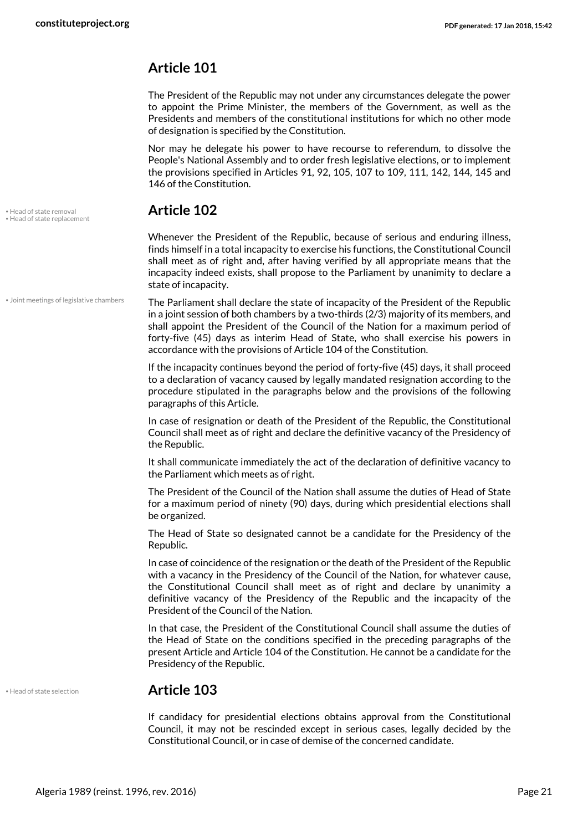#### **Article 101**

The President of the Republic may not under any circumstances delegate the power to appoint the Prime Minister, the members of the Government, as well as the Presidents and members of the constitutional institutions for which no other mode of designation is specified by the Constitution.

Nor may he delegate his power to have recourse to referendum, to dissolve the People's National Assembly and to order fresh legislative elections, or to implement the provisions specified in Articles 91, 92, 105, 107 to 109, 111, 142, 144, 145 and 146 of the Constitution.

<span id="page-20-3"></span><span id="page-20-1"></span>Whenever the President of the Republic, because of serious and enduring illness, finds himself in a total incapacity to exercise his functions, the Constitutional Council shall meet as of right and, after having verified by all appropriate means that the incapacity indeed exists, shall propose to the Parliament by unanimity to declare a state of incapacity.

The Parliament shall declare the state of incapacity of the President of the Republic in a joint session of both chambers by a two-thirds (2/3) majority of its members, and shall appoint the President of the Council of the Nation for a maximum period of forty-five (45) days as interim Head of State, who shall exercise his powers in accordance with the provisions of Article 104 of the Constitution. • Joint meetings of legislative chambers

> If the incapacity continues beyond the period of forty-five (45) days, it shall proceed to a declaration of vacancy caused by legally mandated resignation according to the procedure stipulated in the paragraphs below and the provisions of the following paragraphs of this Article.

> In case of resignation or death of the President of the Republic, the Constitutional Council shall meet as of right and declare the definitive vacancy of the Presidency of the Republic.

> It shall communicate immediately the act of the declaration of definitive vacancy to the Parliament which meets as of right.

> The President of the Council of the Nation shall assume the duties of Head of State for a maximum period of ninety (90) days, during which presidential elections shall be organized.

> The Head of State so designated cannot be a candidate for the Presidency of the Republic.

> In case of coincidence of the resignation or the death of the President of the Republic with a vacancy in the Presidency of the Council of the Nation, for whatever cause, the Constitutional Council shall meet as of right and declare by unanimity a definitive vacancy of the Presidency of the Republic and the incapacity of the President of the Council of the Nation.

> In that case, the President of the Constitutional Council shall assume the duties of the Head of State on the conditions specified in the preceding paragraphs of the present Article and Article 104 of the Constitution. He cannot be a candidate for the Presidency of the Republic.

<span id="page-20-2"></span>

#### • Head of state selection **Article 103**

If candidacy for presidential elections obtains approval from the Constitutional Council, it may not be rescinded except in serious cases, legally decided by the Constitutional Council, or in case of demise of the concerned candidate.

<span id="page-20-0"></span>• Head of state removal **Article 102** • Head of state replacement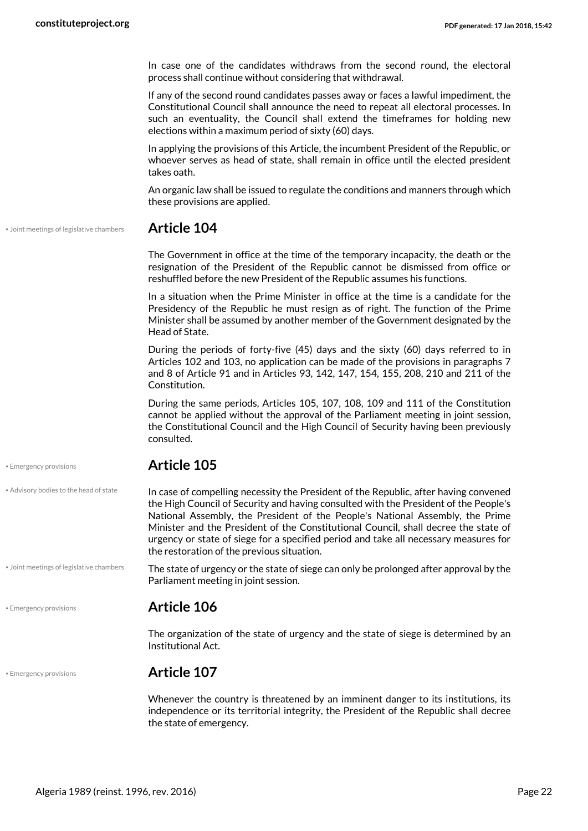In case one of the candidates withdraws from the second round, the electoral process shall continue without considering that withdrawal.

If any of the second round candidates passes away or faces a lawful impediment, the Constitutional Council shall announce the need to repeat all electoral processes. In such an eventuality, the Council shall extend the timeframes for holding new elections within a maximum period of sixty (60) days.

In applying the provisions of this Article, the incumbent President of the Republic, or whoever serves as head of state, shall remain in office until the elected president takes oath.

An organic law shall be issued to regulate the conditions and manners through which these provisions are applied.

• Joint meetings of legislative chambers **Article 104**

The Government in office at the time of the temporary incapacity, the death or the resignation of the President of the Republic cannot be dismissed from office or reshuffled before the new President of the Republic assumes his functions.

In a situation when the Prime Minister in office at the time is a candidate for the Presidency of the Republic he must resign as of right. The function of the Prime Minister shall be assumed by another member of the Government designated by the Head of State.

During the periods of forty-five (45) days and the sixty (60) days referred to in Articles 102 and 103, no application can be made of the provisions in paragraphs 7 and 8 of Article 91 and in Articles 93, 142, 147, 154, 155, 208, 210 and 211 of the Constitution.

During the same periods, Articles 105, 107, 108, 109 and 111 of the Constitution cannot be applied without the approval of the Parliament meeting in joint session, the Constitutional Council and the High Council of Security having been previously consulted.

In case of compelling necessity the President of the Republic, after having convened

#### • Emergency provisions **Article 105**

• Advisory bodies to the head of state

• Joint meetings of legislative chambers

<span id="page-21-0"></span>the High Council of Security and having consulted with the President of the People's National Assembly, the President of the People's National Assembly, the Prime Minister and the President of the Constitutional Council, shall decree the state of urgency or state of siege for a specified period and take all necessary measures for the restoration of the previous situation.

<span id="page-21-2"></span>The state of urgency or the state of siege can only be prolonged after approval by the Parliament meeting in joint session.

#### • Emergency provisions **Article 106**

The organization of the state of urgency and the state of siege is determined by an Institutional Act.

<span id="page-21-1"></span>• Emergency provisions **Article 107**

Whenever the country is threatened by an imminent danger to its institutions, its independence or its territorial integrity, the President of the Republic shall decree the state of emergency.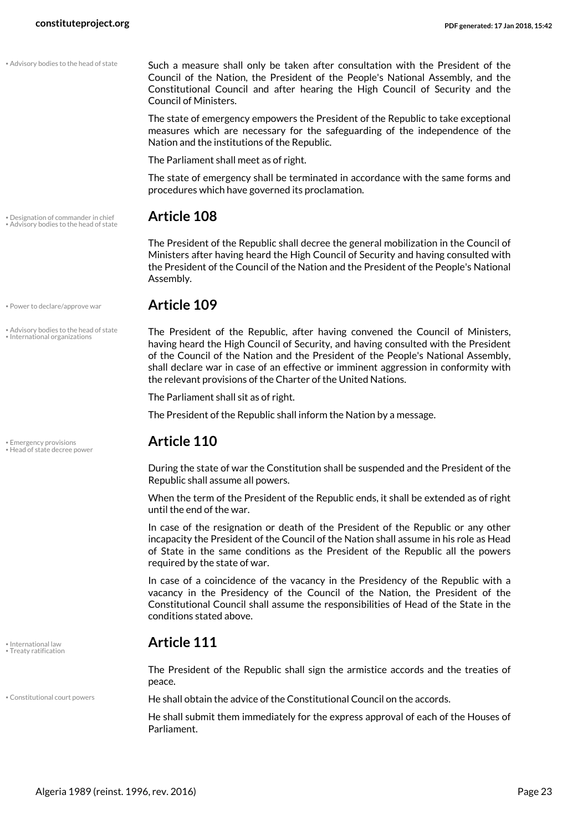Such a measure shall only be taken after consultation with the President of the Council of the Nation, the President of the People's National Assembly, and the Constitutional Council and after hearing the High Council of Security and the Council of Ministers.

The state of emergency empowers the President of the Republic to take exceptional measures which are necessary for the safeguarding of the independence of the Nation and the institutions of the Republic.

The Parliament shall meet as of right.

The state of emergency shall be terminated in accordance with the same forms and procedures which have governed its proclamation.

<span id="page-22-2"></span>The President of the Republic shall decree the general mobilization in the Council of Ministers after having heard the High Council of Security and having consulted with the President of the Council of the Nation and the President of the People's National Assembly.

#### • Power to declare/approve war **Article 109**

<span id="page-22-7"></span><span id="page-22-6"></span><span id="page-22-0"></span>The President of the Republic, after having convened the Council of Ministers, having heard the High Council of Security, and having consulted with the President of the Council of the Nation and the President of the People's National Assembly, shall declare war in case of an effective or imminent aggression in conformity with the relevant provisions of the Charter of the United Nations.

The Parliament shall sit as of right.

The President of the Republic shall inform the Nation by a message.

<span id="page-22-4"></span>During the state of war the Constitution shall be suspended and the President of the Republic shall assume all powers.

When the term of the President of the Republic ends, it shall be extended as of right until the end of the war.

In case of the resignation or death of the President of the Republic or any other incapacity the President of the Council of the Nation shall assume in his role as Head of State in the same conditions as the President of the Republic all the powers required by the state of war.

In case of a coincidence of the vacancy in the Presidency of the Republic with a vacancy in the Presidency of the Council of the Nation, the President of the Constitutional Council shall assume the responsibilities of Head of the State in the conditions stated above.

## • International law **Article 111** • Treaty ratification

The President of the Republic shall sign the armistice accords and the treaties of peace.

• Constitutional court powers **He shall obtain the advice of the Constitutional Council on the accords.** 

<span id="page-22-1"></span>He shall submit them immediately for the express approval of each of the Houses of Parliament.

• Designation of commander in chief **Article 108** • Advisory bodies to the head of state

• Advisory bodies to the head of state • International organizations

<span id="page-22-3"></span>• Emergency provisions **Article 110** • Head of state decree power

<span id="page-22-8"></span><span id="page-22-5"></span>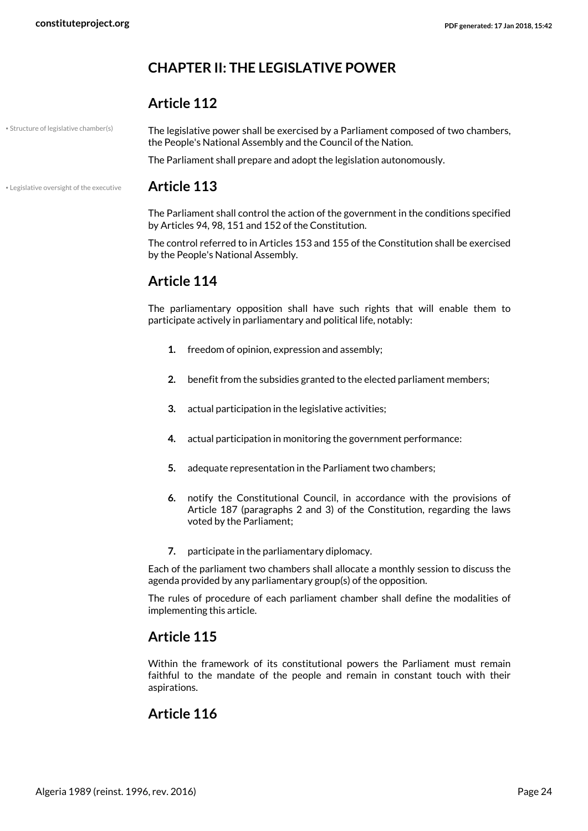### <span id="page-23-0"></span>**CHAPTER II: THE LEGISLATIVE POWER**

#### **Article 112**

• Structure of legislative chamber(s)

<span id="page-23-2"></span>The legislative power shall be exercised by a Parliament composed of two chambers, the People's National Assembly and the Council of the Nation.

The Parliament shall prepare and adopt the legislation autonomously.

#### • Legislative oversight of the executive **Article 113**

<span id="page-23-1"></span>The Parliament shall control the action of the government in the conditions specified by Articles 94, 98, 151 and 152 of the Constitution.

The control referred to in Articles 153 and 155 of the Constitution shall be exercised by the People's National Assembly.

### **Article 114**

The parliamentary opposition shall have such rights that will enable them to participate actively in parliamentary and political life, notably:

- **1.** freedom of opinion, expression and assembly;
- **2.** benefit from the subsidies granted to the elected parliament members;
- **3.** actual participation in the legislative activities;
- **4.** actual participation in monitoring the government performance:
- **5.** adequate representation in the Parliament two chambers;
- **6.** notify the Constitutional Council, in accordance with the provisions of Article 187 (paragraphs 2 and 3) of the Constitution, regarding the laws voted by the Parliament;
- **7.** participate in the parliamentary diplomacy.

Each of the parliament two chambers shall allocate a monthly session to discuss the agenda provided by any parliamentary group(s) of the opposition.

The rules of procedure of each parliament chamber shall define the modalities of implementing this article.

#### **Article 115**

Within the framework of its constitutional powers the Parliament must remain faithful to the mandate of the people and remain in constant touch with their aspirations.

#### **Article 116**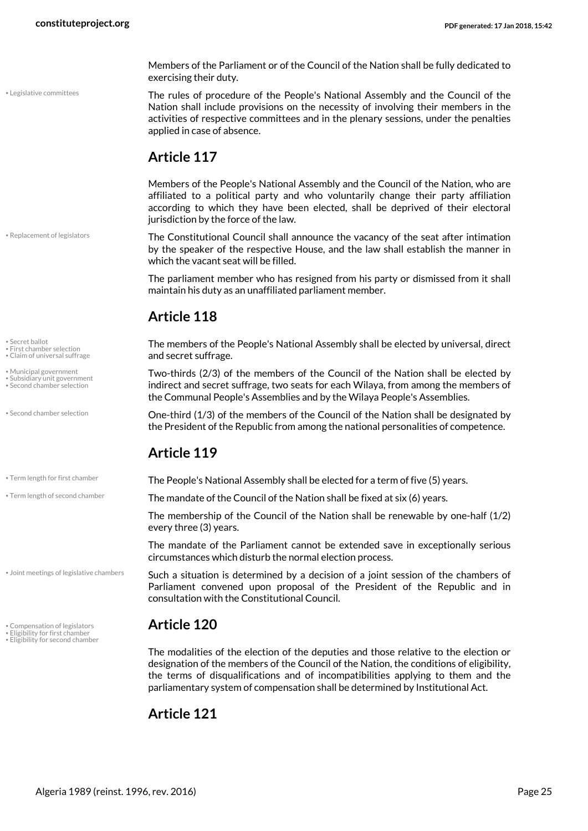Members of the Parliament or of the Council of the Nation shall be fully dedicated to exercising their duty.

<span id="page-24-6"></span>The rules of procedure of the People's National Assembly and the Council of the Nation shall include provisions on the necessity of involving their members in the activities of respective committees and in the plenary sessions, under the penalties applied in case of absence.

### **Article 117**

Members of the People's National Assembly and the Council of the Nation, who are affiliated to a political party and who voluntarily change their party affiliation according to which they have been elected, shall be deprived of their electoral jurisdiction by the force of the law.

<span id="page-24-8"></span>The Constitutional Council shall announce the vacancy of the seat after intimation by the speaker of the respective House, and the law shall establish the manner in which the vacant seat will be filled.

The parliament member who has resigned from his party or dismissed from it shall maintain his duty as an unaffiliated parliament member.

## **Article 118**

<span id="page-24-4"></span>The members of the People's National Assembly shall be elected by universal, direct and secret suffrage.

<span id="page-24-11"></span><span id="page-24-7"></span><span id="page-24-0"></span>Two-thirds (2/3) of the members of the Council of the Nation shall be elected by indirect and secret suffrage, two seats for each Wilaya, from among the members of the Communal People's Assemblies and by the Wilaya People's Assemblies.

<span id="page-24-9"></span>One-third (1/3) of the members of the Council of the Nation shall be designated by the President of the Republic from among the national personalities of competence.

### <span id="page-24-12"></span>**Article 119**

• Term length for first chamber **The People's National Assembly shall be elected for a term of five (5) years.** 

 $\cdot$  The mandate of the Council of the Nation shall be fixed at six (6) years.

<span id="page-24-13"></span>The membership of the Council of the Nation shall be renewable by one-half (1/2) every three (3) years.

The mandate of the Parliament cannot be extended save in exceptionally serious circumstances which disturb the normal election process.

<span id="page-24-5"></span>Such a situation is determined by a decision of a joint session of the chambers of Parliament convened upon proposal of the President of the Republic and in consultation with the Constitutional Council.

## • Compensation of legislators **Article 120** • Eligibility for first chamber • Eligibility for second chamber

<span id="page-24-3"></span><span id="page-24-2"></span><span id="page-24-1"></span>The modalities of the election of the deputies and those relative to the election or designation of the members of the Council of the Nation, the conditions of eligibility, the terms of disqualifications and of incompatibilities applying to them and the parliamentary system of compensation shall be determined by Institutional Act.

### **Article 121**

• Replacement of legislators

• Legislative committees

<span id="page-24-10"></span>• Secret ballot • First chamber selection

- Claim of universal suffrage
- Municipal government
- Subsidiary unit government Second chamber selection

• Second chamber selection

• Joint meetings of legislative chambers

- 
-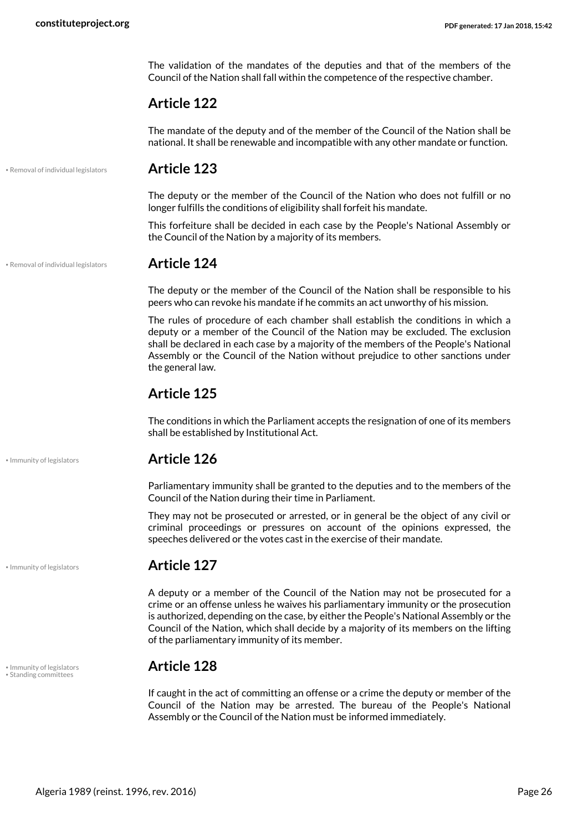The validation of the mandates of the deputies and that of the members of the Council of the Nation shall fall within the competence of the respective chamber.

#### **Article 122**

The mandate of the deputy and of the member of the Council of the Nation shall be national. It shall be renewable and incompatible with any other mandate or function.

• Removal of individual legislators **Article 123**

The deputy or the member of the Council of the Nation who does not fulfill or no longer fulfills the conditions of eligibility shall forfeit his mandate.

This forfeiture shall be decided in each case by the People's National Assembly or the Council of the Nation by a majority of its members.

• Removal of individual legislators **Article 124**

<span id="page-25-1"></span>The deputy or the member of the Council of the Nation shall be responsible to his peers who can revoke his mandate if he commits an act unworthy of his mission.

The rules of procedure of each chamber shall establish the conditions in which a deputy or a member of the Council of the Nation may be excluded. The exclusion shall be declared in each case by a majority of the members of the People's National Assembly or the Council of the Nation without prejudice to other sanctions under the general law.

#### **Article 125**

The conditions in which the Parliament accepts the resignation of one of its members shall be established by Institutional Act.

#### • Immunity of legislators **Article 126**

Parliamentary immunity shall be granted to the deputies and to the members of the Council of the Nation during their time in Parliament.

They may not be prosecuted or arrested, or in general be the object of any civil or criminal proceedings or pressures on account of the opinions expressed, the speeches delivered or the votes cast in the exercise of their mandate.

#### • Immunity of legislators **Article 127**

A deputy or a member of the Council of the Nation may not be prosecuted for a crime or an offense unless he waives his parliamentary immunity or the prosecution is authorized, depending on the case, by either the People's National Assembly or the Council of the Nation, which shall decide by a majority of its members on the lifting of the parliamentary immunity of its member.

## <span id="page-25-2"></span>• Immunity of legislators **Article 128** • Standing committees

<span id="page-25-0"></span>If caught in the act of committing an offense or a crime the deputy or member of the Council of the Nation may be arrested. The bureau of the People's National Assembly or the Council of the Nation must be informed immediately.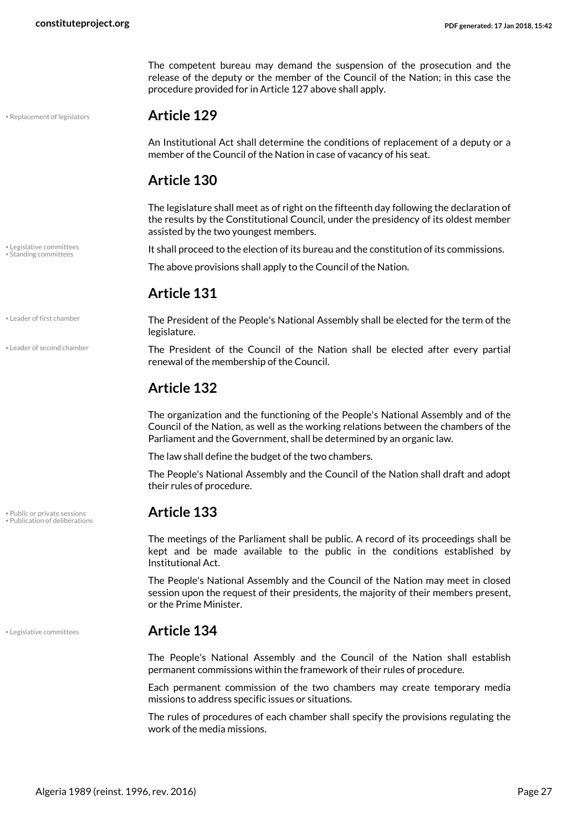The competent bureau may demand the suspension of the prosecution and the release of the deputy or the member of the Council of the Nation; in this case the procedure provided for in Article 127 above shall apply.

#### • Replacement of legislators **Article 129**

<span id="page-26-5"></span>An Institutional Act shall determine the conditions of replacement of a deputy or a member of the Council of the Nation in case of vacancy of his seat.

### **Article 130**

The legislature shall meet as of right on the fifteenth day following the declaration of the results by the Constitutional Council, under the presidency of its oldest member assisted by the two youngest members.

• Legislative committees *It shall proceed to the election of its bureau and the constitution of its commissions.* 

The above provisions shall apply to the Council of the Nation.

#### **Article 131**

<span id="page-26-1"></span><span id="page-26-0"></span>The President of the People's National Assembly shall be elected for the term of the legislature.

> The President of the Council of the Nation shall be elected after every partial renewal of the membership of the Council.

#### **Article 132**

The organization and the functioning of the People's National Assembly and of the Council of the Nation, as well as the working relations between the chambers of the Parliament and the Government, shall be determined by an organic law.

The law shall define the budget of the two chambers.

The People's National Assembly and the Council of the Nation shall draft and adopt their rules of procedure.

<span id="page-26-4"></span><span id="page-26-3"></span>The meetings of the Parliament shall be public. A record of its proceedings shall be kept and be made available to the public in the conditions established by Institutional Act.

The People's National Assembly and the Council of the Nation may meet in closed session upon the request of their presidents, the majority of their members present, or the Prime Minister.

#### • Legislative committees **Article 134**

The People's National Assembly and the Council of the Nation shall establish permanent commissions within the framework of their rules of procedure.

Each permanent commission of the two chambers may create temporary media missions to address specific issues or situations.

The rules of procedures of each chamber shall specify the provisions regulating the work of the media missions.

<span id="page-26-6"></span>• Standing committees

• Leader of first chamber

• Leader of second chamber

• Public or private sessions **Article 133** • Publication of deliberations

<span id="page-26-2"></span>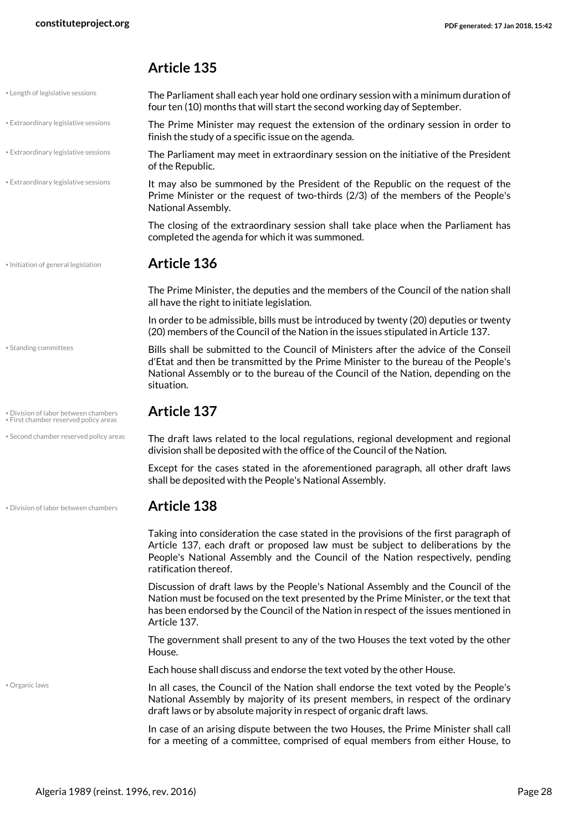#### <span id="page-27-4"></span><span id="page-27-3"></span><span id="page-27-1"></span>**Article 135**

<span id="page-27-7"></span><span id="page-27-6"></span><span id="page-27-5"></span><span id="page-27-2"></span><span id="page-27-0"></span>

| • Length of legislative sessions                                              | The Parliament shall each year hold one ordinary session with a minimum duration of<br>four ten (10) months that will start the second working day of September.                                                                                                                    |  |  |
|-------------------------------------------------------------------------------|-------------------------------------------------------------------------------------------------------------------------------------------------------------------------------------------------------------------------------------------------------------------------------------|--|--|
| • Extraordinary legislative sessions                                          | The Prime Minister may request the extension of the ordinary session in order to<br>finish the study of a specific issue on the agenda.                                                                                                                                             |  |  |
| • Extraordinary legislative sessions                                          | The Parliament may meet in extraordinary session on the initiative of the President<br>of the Republic.                                                                                                                                                                             |  |  |
| · Extraordinary legislative sessions                                          | It may also be summoned by the President of the Republic on the request of the<br>Prime Minister or the request of two-thirds (2/3) of the members of the People's<br>National Assembly.                                                                                            |  |  |
|                                                                               | The closing of the extraordinary session shall take place when the Parliament has<br>completed the agenda for which it was summoned.                                                                                                                                                |  |  |
| · Initiation of general legislation                                           | <b>Article 136</b>                                                                                                                                                                                                                                                                  |  |  |
|                                                                               | The Prime Minister, the deputies and the members of the Council of the nation shall<br>all have the right to initiate legislation.                                                                                                                                                  |  |  |
|                                                                               | In order to be admissible, bills must be introduced by twenty (20) deputies or twenty<br>(20) members of the Council of the Nation in the issues stipulated in Article 137.                                                                                                         |  |  |
| · Standing committees                                                         | Bills shall be submitted to the Council of Ministers after the advice of the Conseil<br>d'Etat and then be transmitted by the Prime Minister to the bureau of the People's<br>National Assembly or to the bureau of the Council of the Nation, depending on the<br>situation.       |  |  |
| · Division of labor between chambers<br>· First chamber reserved policy areas | <b>Article 137</b>                                                                                                                                                                                                                                                                  |  |  |
| • Second chamber reserved policy areas                                        | The draft laws related to the local regulations, regional development and regional<br>division shall be deposited with the office of the Council of the Nation.                                                                                                                     |  |  |
|                                                                               | Except for the cases stated in the aforementioned paragraph, all other draft laws<br>shall be deposited with the People's National Assembly.                                                                                                                                        |  |  |
| · Division of labor between chambers                                          | <b>Article 138</b>                                                                                                                                                                                                                                                                  |  |  |
|                                                                               | Taking into consideration the case stated in the provisions of the first paragraph of<br>Article 137, each draft or proposed law must be subject to deliberations by the<br>People's National Assembly and the Council of the Nation respectively, pending<br>ratification thereof. |  |  |
|                                                                               | Discussion of draft laws by the People's National Assembly and the Council of the<br>Nation must be focused on the text presented by the Prime Minister, or the text that<br>has been endorsed by the Council of the Nation in respect of the issues mentioned in<br>Article 137.   |  |  |
|                                                                               | The government shall present to any of the two Houses the text voted by the other<br>House.                                                                                                                                                                                         |  |  |
|                                                                               | Each house shall discuss and endorse the text voted by the other House.                                                                                                                                                                                                             |  |  |
| · Organic laws                                                                | In all cases, the Council of the Nation shall endorse the text voted by the People's<br>National Assembly by majority of its present members, in respect of the ordinary<br>draft laws or by absolute majority in respect of organic draft laws.                                    |  |  |
|                                                                               | In case of an arising dispute between the two Houses, the Prime Minister shall call<br>for a meeting of a committee, comprised of equal members from either House, to                                                                                                               |  |  |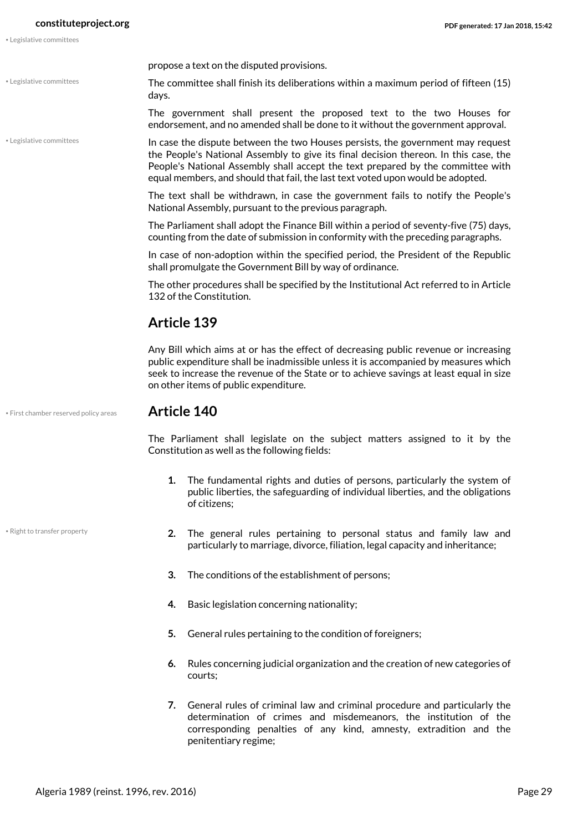• Legislative committees

• Legislative committees

propose a text on the disputed provisions.

The committee shall finish its deliberations within a maximum period of fifteen (15) days.

The government shall present the proposed text to the two Houses for endorsement, and no amended shall be done to it without the government approval.

<span id="page-28-1"></span>In case the dispute between the two Houses persists, the government may request the People's National Assembly to give its final decision thereon. In this case, the People's National Assembly shall accept the text prepared by the committee with equal members, and should that fail, the last text voted upon would be adopted.

The text shall be withdrawn, in case the government fails to notify the People's National Assembly, pursuant to the previous paragraph.

The Parliament shall adopt the Finance Bill within a period of seventy-five (75) days, counting from the date of submission in conformity with the preceding paragraphs.

In case of non-adoption within the specified period, the President of the Republic shall promulgate the Government Bill by way of ordinance.

The other procedures shall be specified by the Institutional Act referred to in Article 132 of the Constitution.

#### **Article 139**

Any Bill which aims at or has the effect of decreasing public revenue or increasing public expenditure shall be inadmissible unless it is accompanied by measures which seek to increase the revenue of the State or to achieve savings at least equal in size on other items of public expenditure.

• First chamber reserved policy areas **Article 140**

• Right to transfer property

<span id="page-28-0"></span>

The Parliament shall legislate on the subject matters assigned to it by the Constitution as well as the following fields:

- **1.** The fundamental rights and duties of persons, particularly the system of public liberties, the safeguarding of individual liberties, and the obligations of citizens;
- <span id="page-28-2"></span>**2.** The general rules pertaining to personal status and family law and particularly to marriage, divorce, filiation, legal capacity and inheritance;
- **3.** The conditions of the establishment of persons;
- **4.** Basic legislation concerning nationality;
- **5.** General rules pertaining to the condition of foreigners;
- **6.** Rules concerning judicial organization and the creation of new categories of courts;
- **7.** General rules of criminal law and criminal procedure and particularly the determination of crimes and misdemeanors, the institution of the corresponding penalties of any kind, amnesty, extradition and the penitentiary regime;

Algeria 1989 (reinst. 1996, rev. 2016) Page 29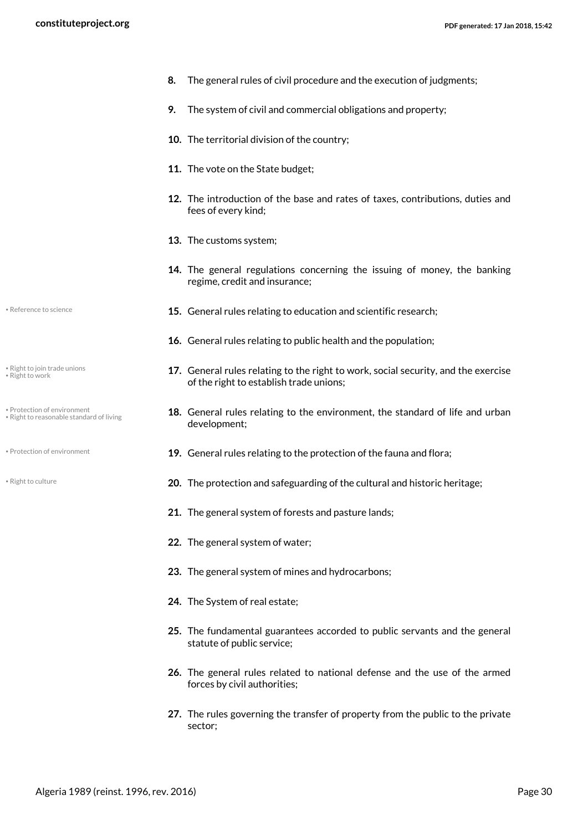- **8.** The general rules of civil procedure and the execution of judgments;
	- **9.** The system of civil and commercial obligations and property;
	- **10.** The territorial division of the country;
	- **11.** The vote on the State budget;
	- **12.** The introduction of the base and rates of taxes, contributions, duties and fees of every kind;
	- **13.** The customs system;
	- **14.** The general regulations concerning the issuing of money, the banking regime, credit and insurance;
- **15.** General rules relating to education and scientific research; Reference to science
	- **16.** General rules relating to public health and the population;
	- **17.** General rules relating to the right to work, social security, and the exercise of the right to establish trade unions;
	- **18.** General rules relating to the environment, the standard of life and urban development;
- <span id="page-29-0"></span>**• Protection of environment 19.** General rules relating to the protection of the fauna and flora;
- <span id="page-29-2"></span>**<sup>• Right to culture contract contract and safeguarding of the cultural and historic heritage;**</sup>
	- **21.** The general system of forests and pasture lands;
	- **22.** The general system of water;
	- **23.** The general system of mines and hydrocarbons;
	- **24.** The System of real estate;
	- **25.** The fundamental guarantees accorded to public servants and the general statute of public service;
	- **26.** The general rules related to national defense and the use of the armed forces by civil authorities;
	- **27.** The rules governing the transfer of property from the public to the private sector;

<span id="page-29-1"></span>

<span id="page-29-5"></span><span id="page-29-3"></span>• Right to join trade unions • Right to work

- <span id="page-29-4"></span>• Protection of environment • Right to reasonable standard of living
- 
-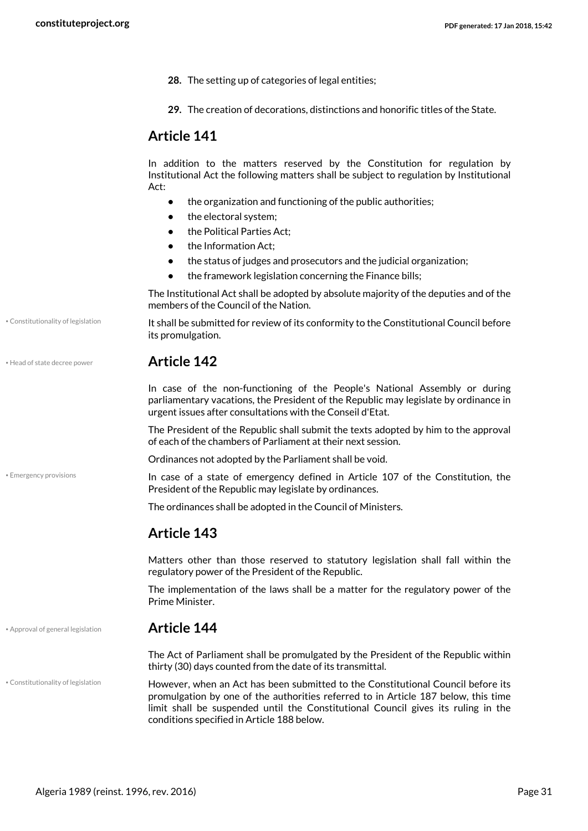- **28.** The setting up of categories of legal entities;
- **29.** The creation of decorations, distinctions and honorific titles of the State.

#### **Article 141**

In addition to the matters reserved by the Constitution for regulation by Institutional Act the following matters shall be subject to regulation by Institutional Act:

- **•** the organization and functioning of the public authorities;
- **•** the electoral system;
- **•** the Political Parties Act;
- the Information Act:
- **•** the status of judges and prosecutors and the judicial organization;
- **•** the framework legislation concerning the Finance bills;

The Institutional Act shall be adopted by absolute majority of the deputies and of the members of the Council of the Nation.

It shall be submitted for review of its conformity to the Constitutional Council before its promulgation.

| • Head of state decree power | <b>Article 142</b> |
|------------------------------|--------------------|
|------------------------------|--------------------|

<span id="page-30-3"></span>In case of the non-functioning of the People's National Assembly or during parliamentary vacations, the President of the Republic may legislate by ordinance in urgent issues after consultations with the Conseil d'Etat.

The President of the Republic shall submit the texts adopted by him to the approval of each of the chambers of Parliament at their next session.

Ordinances not adopted by the Parliament shall be void.

<span id="page-30-2"></span>In case of a state of emergency defined in Article 107 of the Constitution, the President of the Republic may legislate by ordinances.

The ordinances shall be adopted in the Council of Ministers.

#### **Article 143**

Matters other than those reserved to statutory legislation shall fall within the regulatory power of the President of the Republic.

The implementation of the laws shall be a matter for the regulatory power of the Prime Minister.

#### • Approval of general legislation **Article 144**

• Constitutionality of legislation

• Constitutionality of legislation

• Emergency provisions

<span id="page-30-0"></span>The Act of Parliament shall be promulgated by the President of the Republic within thirty (30) days counted from the date of its transmittal.

<span id="page-30-1"></span>However, when an Act has been submitted to the Constitutional Council before its promulgation by one of the authorities referred to in Article 187 below, this time limit shall be suspended until the Constitutional Council gives its ruling in the conditions specified in Article 188 below.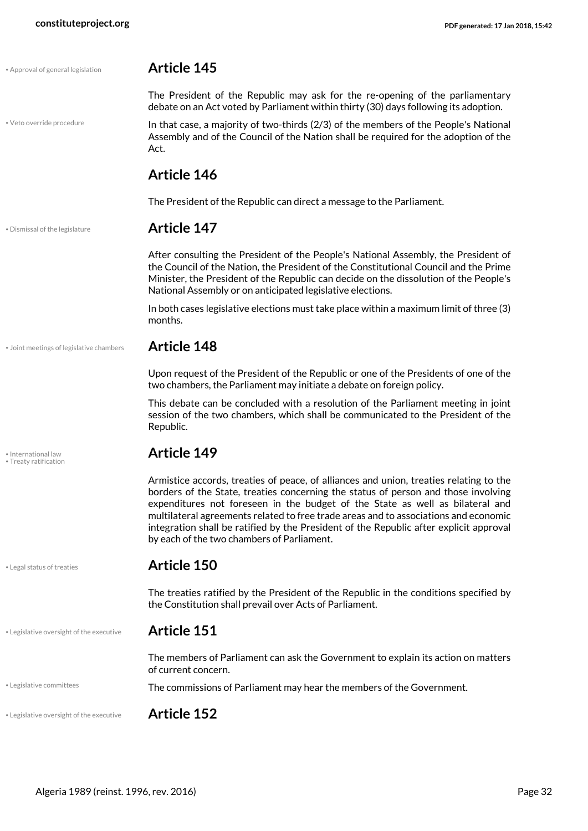<span id="page-31-8"></span><span id="page-31-7"></span><span id="page-31-6"></span><span id="page-31-5"></span><span id="page-31-4"></span><span id="page-31-3"></span><span id="page-31-2"></span><span id="page-31-1"></span><span id="page-31-0"></span>

| • Approval of general legislation            | <b>Article 145</b>                                                                                                                                                                                                                                                                                                                                                                                                                                                                            |
|----------------------------------------------|-----------------------------------------------------------------------------------------------------------------------------------------------------------------------------------------------------------------------------------------------------------------------------------------------------------------------------------------------------------------------------------------------------------------------------------------------------------------------------------------------|
|                                              | The President of the Republic may ask for the re-opening of the parliamentary<br>debate on an Act voted by Parliament within thirty (30) days following its adoption.                                                                                                                                                                                                                                                                                                                         |
| · Veto override procedure                    | In that case, a majority of two-thirds (2/3) of the members of the People's National<br>Assembly and of the Council of the Nation shall be required for the adoption of the<br>Act.                                                                                                                                                                                                                                                                                                           |
|                                              | <b>Article 146</b>                                                                                                                                                                                                                                                                                                                                                                                                                                                                            |
|                                              | The President of the Republic can direct a message to the Parliament.                                                                                                                                                                                                                                                                                                                                                                                                                         |
| . Dismissal of the legislature               | <b>Article 147</b>                                                                                                                                                                                                                                                                                                                                                                                                                                                                            |
|                                              | After consulting the President of the People's National Assembly, the President of<br>the Council of the Nation, the President of the Constitutional Council and the Prime<br>Minister, the President of the Republic can decide on the dissolution of the People's<br>National Assembly or on anticipated legislative elections.                                                                                                                                                             |
|                                              | In both cases legislative elections must take place within a maximum limit of three (3)<br>months.                                                                                                                                                                                                                                                                                                                                                                                            |
| • Joint meetings of legislative chambers     | <b>Article 148</b>                                                                                                                                                                                                                                                                                                                                                                                                                                                                            |
|                                              | Upon request of the President of the Republic or one of the Presidents of one of the<br>two chambers, the Parliament may initiate a debate on foreign policy.                                                                                                                                                                                                                                                                                                                                 |
|                                              | This debate can be concluded with a resolution of the Parliament meeting in joint<br>session of the two chambers, which shall be communicated to the President of the<br>Republic.                                                                                                                                                                                                                                                                                                            |
| · International law<br>• Treaty ratification | <b>Article 149</b>                                                                                                                                                                                                                                                                                                                                                                                                                                                                            |
|                                              | Armistice accords, treaties of peace, of alliances and union, treaties relating to the<br>borders of the State, treaties concerning the status of person and those involving<br>expenditures not foreseen in the budget of the State as well as bilateral and<br>multilateral agreements related to free trade areas and to associations and economic<br>integration shall be ratified by the President of the Republic after explicit approval<br>by each of the two chambers of Parliament. |
| • Legal status of treaties                   | <b>Article 150</b>                                                                                                                                                                                                                                                                                                                                                                                                                                                                            |
|                                              | The treaties ratified by the President of the Republic in the conditions specified by<br>the Constitution shall prevail over Acts of Parliament.                                                                                                                                                                                                                                                                                                                                              |
| . Legislative oversight of the executive     | <b>Article 151</b>                                                                                                                                                                                                                                                                                                                                                                                                                                                                            |
|                                              | The members of Parliament can ask the Government to explain its action on matters<br>of current concern.                                                                                                                                                                                                                                                                                                                                                                                      |
| • Legislative committees                     | The commissions of Parliament may hear the members of the Government.                                                                                                                                                                                                                                                                                                                                                                                                                         |
| . Legislative oversight of the executive     | <b>Article 152</b>                                                                                                                                                                                                                                                                                                                                                                                                                                                                            |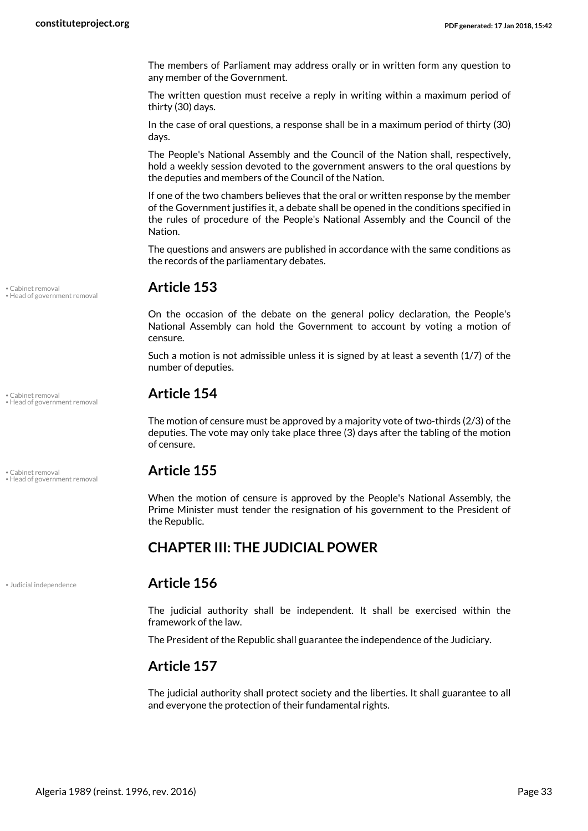The members of Parliament may address orally or in written form any question to any member of the Government.

The written question must receive a reply in writing within a maximum period of thirty (30) days.

In the case of oral questions, a response shall be in a maximum period of thirty (30) days.

The People's National Assembly and the Council of the Nation shall, respectively, hold a weekly session devoted to the government answers to the oral questions by the deputies and members of the Council of the Nation.

If one of the two chambers believes that the oral or written response by the member of the Government justifies it, a debate shall be opened in the conditions specified in the rules of procedure of the People's National Assembly and the Council of the Nation.

The questions and answers are published in accordance with the same conditions as the records of the parliamentary debates.

On the occasion of the debate on the general policy declaration, the People's National Assembly can hold the Government to account by voting a motion of censure.

Such a motion is not admissible unless it is signed by at least a seventh (1/7) of the number of deputies.

## • Cabinet removal **Article 154** • Head of government removal

The motion of censure must be approved by a majority vote of two-thirds (2/3) of the deputies. The vote may only take place three (3) days after the tabling of the motion of censure.

<span id="page-32-2"></span>When the motion of censure is approved by the People's National Assembly, the Prime Minister must tender the resignation of his government to the President of the Republic.

#### <span id="page-32-0"></span>**CHAPTER III: THE JUDICIAL POWER**

<span id="page-32-3"></span>

#### • Judicial independence **Article 156**

The judicial authority shall be independent. It shall be exercised within the framework of the law.

The President of the Republic shall guarantee the independence of the Judiciary.

#### **Article 157**

The judicial authority shall protect society and the liberties. It shall guarantee to all and everyone the protection of their fundamental rights.

• Cabinet removal **Article 153** • Head of government removal

<span id="page-32-1"></span>• Cabinet removal **Article 155** • Head of government removal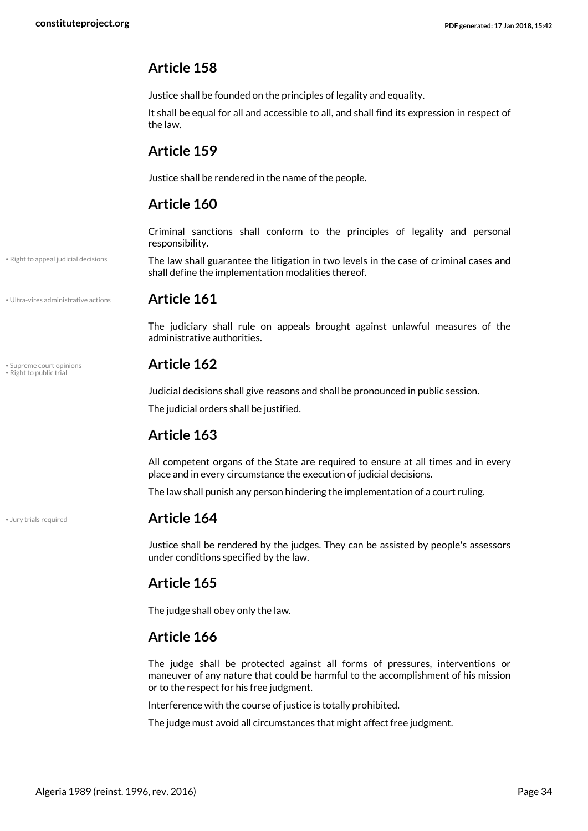### **Article 158**

Justice shall be founded on the principles of legality and equality.

It shall be equal for all and accessible to all, and shall find its expression in respect of the law.

#### **Article 159**

Justice shall be rendered in the name of the people.

### **Article 160**

Criminal sanctions shall conform to the principles of legality and personal responsibility.

<span id="page-33-1"></span>The law shall guarantee the litigation in two levels in the case of criminal cases and shall define the implementation modalities thereof.

• Ultra-vires administrative actions **Article 161**

• Right to appeal judicial decisions

<span id="page-33-4"></span>The judiciary shall rule on appeals brought against unlawful measures of the administrative authorities.

## • Supreme court opinions **Article 162** • Right to public trial

<span id="page-33-3"></span>Judicial decisions shall give reasons and shall be pronounced in public session.

The judicial orders shall be justified.

### **Article 163**

All competent organs of the State are required to ensure at all times and in every place and in every circumstance the execution of judicial decisions.

The law shall punish any person hindering the implementation of a court ruling.

#### <span id="page-33-0"></span>• Jury trials required **Article 164**

Justice shall be rendered by the judges. They can be assisted by people's assessors under conditions specified by the law.

### **Article 165**

The judge shall obey only the law.

### **Article 166**

The judge shall be protected against all forms of pressures, interventions or maneuver of any nature that could be harmful to the accomplishment of his mission or to the respect for his free judgment.

Interference with the course of justice is totally prohibited.

The judge must avoid all circumstances that might affect free judgment.

<span id="page-33-2"></span>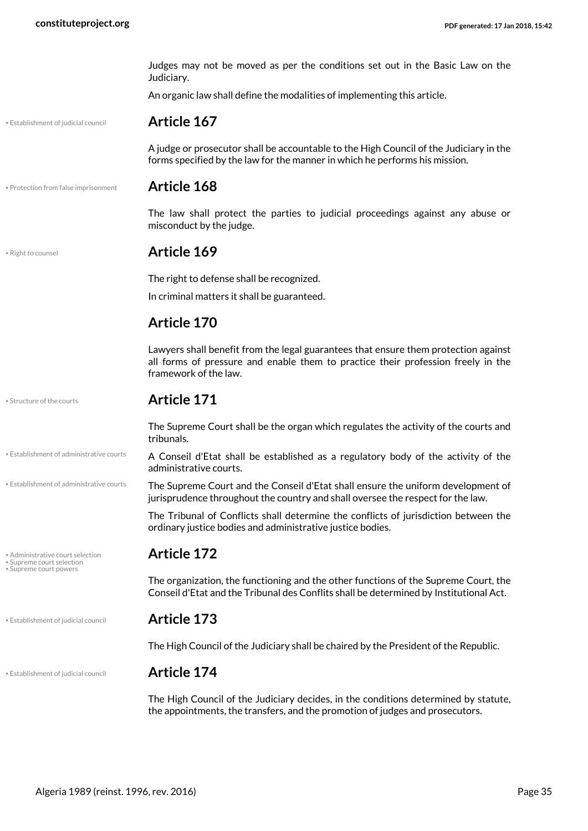<span id="page-34-7"></span><span id="page-34-6"></span><span id="page-34-5"></span><span id="page-34-4"></span><span id="page-34-3"></span><span id="page-34-2"></span><span id="page-34-1"></span><span id="page-34-0"></span>

|                                                               | Judges may not be moved as per the conditions set out in the Basic Law on the<br>Judiciary.                                                                                                      |
|---------------------------------------------------------------|--------------------------------------------------------------------------------------------------------------------------------------------------------------------------------------------------|
|                                                               | An organic law shall define the modalities of implementing this article.                                                                                                                         |
| · Establishment of judicial council                           | <b>Article 167</b>                                                                                                                                                                               |
|                                                               | A judge or prosecutor shall be accountable to the High Council of the Judiciary in the<br>forms specified by the law for the manner in which he performs his mission.                            |
| · Protection from false imprisonment                          | <b>Article 168</b>                                                                                                                                                                               |
|                                                               | The law shall protect the parties to judicial proceedings against any abuse or<br>misconduct by the judge.                                                                                       |
| · Right to counsel                                            | Article 169                                                                                                                                                                                      |
|                                                               | The right to defense shall be recognized.                                                                                                                                                        |
|                                                               | In criminal matters it shall be guaranteed.                                                                                                                                                      |
|                                                               | <b>Article 170</b>                                                                                                                                                                               |
|                                                               | Lawyers shall benefit from the legal guarantees that ensure them protection against<br>all forms of pressure and enable them to practice their profession freely in the<br>framework of the law. |
| • Structure of the courts                                     | <b>Article 171</b>                                                                                                                                                                               |
|                                                               | The Supreme Court shall be the organ which regulates the activity of the courts and<br>tribunals.                                                                                                |
| · Establishment of administrative courts                      | A Conseil d'Etat shall be established as a regulatory body of the activity of the<br>administrative courts.                                                                                      |
| • Establishment of administrative courts                      | The Supreme Court and the Conseil d'Etat shall ensure the uniform development of<br>jurisprudence throughout the country and shall oversee the respect for the law.                              |
|                                                               | The Tribunal of Conflicts shall determine the conflicts of jurisdiction between the<br>ordinary justice bodies and administrative justice bodies.                                                |
| • Administrative court selection<br>• Supreme court selection | <b>Article 172</b>                                                                                                                                                                               |
| • Supreme court powers                                        | The organization, the functioning and the other functions of the Supreme Court, the<br>Conseil d'Etat and the Tribunal des Conflits shall be determined by Institutional Act.                    |
| · Establishment of judicial council                           | <b>Article 173</b>                                                                                                                                                                               |
|                                                               | The High Council of the Judiciary shall be chaired by the President of the Republic.                                                                                                             |
| • Establishment of judicial council                           | <b>Article 174</b>                                                                                                                                                                               |
|                                                               | The High Council of the Judiciary decides, in the conditions determined by statute<br>the appointments, the transfers, and the promotion of judges and prosecutors.                              |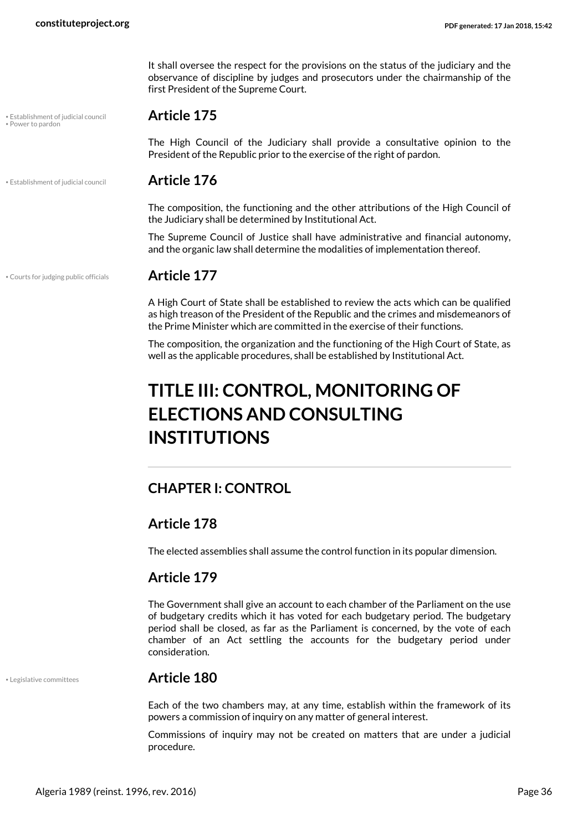It shall oversee the respect for the provisions on the status of the judiciary and the observance of discipline by judges and prosecutors under the chairmanship of the first President of the Supreme Court.

## <span id="page-35-5"></span>• Establishment of judicial council **Article 175** • Power to pardon

The High Council of the Judiciary shall provide a consultative opinion to the President of the Republic prior to the exercise of the right of pardon.

• Establishment of judicial council **Article 176**

<span id="page-35-3"></span>The composition, the functioning and the other attributions of the High Council of the Judiciary shall be determined by Institutional Act.

The Supreme Council of Justice shall have administrative and financial autonomy, and the organic law shall determine the modalities of implementation thereof.

• Courts for judging public officials **Article 177**

<span id="page-35-2"></span>A High Court of State shall be established to review the acts which can be qualified as high treason of the President of the Republic and the crimes and misdemeanors of the Prime Minister which are committed in the exercise of their functions.

The composition, the organization and the functioning of the High Court of State, as well as the applicable procedures, shall be established by Institutional Act.

## <span id="page-35-0"></span>**TITLE III: CONTROL, MONITORING OF ELECTIONS AND CONSULTING INSTITUTIONS**

#### <span id="page-35-1"></span>**CHAPTER I: CONTROL**

#### **Article 178**

The elected assemblies shall assume the control function in its popular dimension.

#### **Article 179**

The Government shall give an account to each chamber of the Parliament on the use of budgetary credits which it has voted for each budgetary period. The budgetary period shall be closed, as far as the Parliament is concerned, by the vote of each chamber of an Act settling the accounts for the budgetary period under consideration.

<span id="page-35-4"></span>

#### • Legislative committees **Article 180**

Each of the two chambers may, at any time, establish within the framework of its powers a commission of inquiry on any matter of general interest.

Commissions of inquiry may not be created on matters that are under a judicial procedure.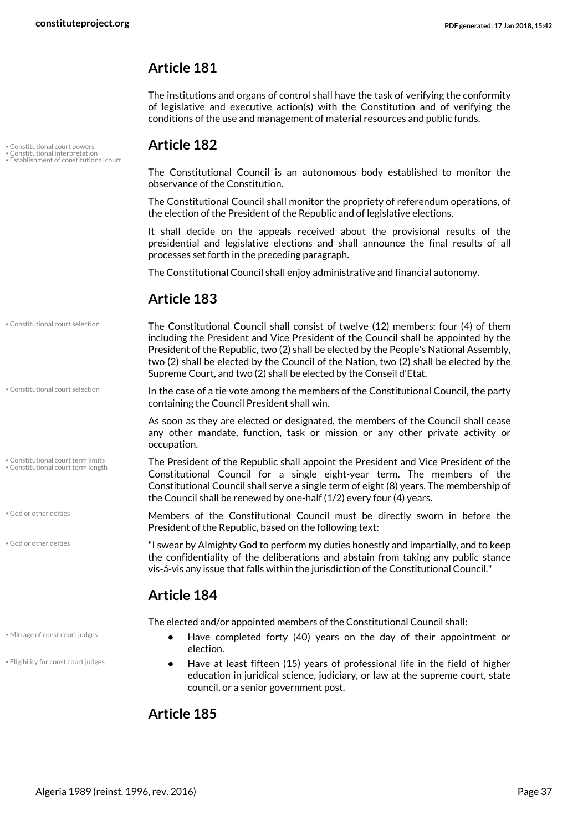#### **Article 181**

The institutions and organs of control shall have the task of verifying the conformity of legislative and executive action(s) with the Constitution and of verifying the conditions of the use and management of material resources and public funds.

• Constitutional court selection

• Constitutional court term limits • Constitutional court term length

• God or other deities

• God or other deities

• Constitutional court powers **Article 182** • Constitutional interpretation • Establishment of constitutional court

<span id="page-36-6"></span><span id="page-36-4"></span><span id="page-36-0"></span>The Constitutional Council is an autonomous body established to monitor the observance of the Constitution.

The Constitutional Council shall monitor the propriety of referendum operations, of the election of the President of the Republic and of legislative elections.

It shall decide on the appeals received about the provisional results of the presidential and legislative elections and shall announce the final results of all processes set forth in the preceding paragraph.

The Constitutional Council shall enjoy administrative and financial autonomy.

### **Article 183**

The Constitutional Council shall consist of twelve (12) members: four (4) of them including the President and Vice President of the Council shall be appointed by the President of the Republic, two (2) shall be elected by the People's National Assembly, two (2) shall be elected by the Council of the Nation, two (2) shall be elected by the Supreme Court, and two (2) shall be elected by the Conseil d'Etat. • Constitutional court selection

> <span id="page-36-1"></span>In the case of a tie vote among the members of the Constitutional Council, the party containing the Council President shall win.

As soon as they are elected or designated, the members of the Council shall cease any other mandate, function, task or mission or any other private activity or occupation.

<span id="page-36-3"></span><span id="page-36-2"></span>The President of the Republic shall appoint the President and Vice President of the Constitutional Council for a single eight-year term. The members of the Constitutional Council shall serve a single term of eight (8) years. The membership of the Council shall be renewed by one-half (1/2) every four (4) years.

<span id="page-36-7"></span>Members of the Constitutional Council must be directly sworn in before the President of the Republic, based on the following text:

"I swear by Almighty God to perform my duties honestly and impartially, and to keep the confidentiality of the deliberations and abstain from taking any public stance vis-á-vis any issue that falls within the jurisdiction of the Constitutional Council."

### **Article 184**

<span id="page-36-8"></span><span id="page-36-5"></span>The elected and/or appointed members of the Constitutional Council shall:

- **•** Have completed forty (40) years on the day of their appointment or election.
- **•** Have at least fifteen (15) years of professional life in the field of higher education in juridical science, judiciary, or law at the supreme court, state council, or a senior government post.

### **Article 185**

• Min age of const court judges

• Eligibility for const court judges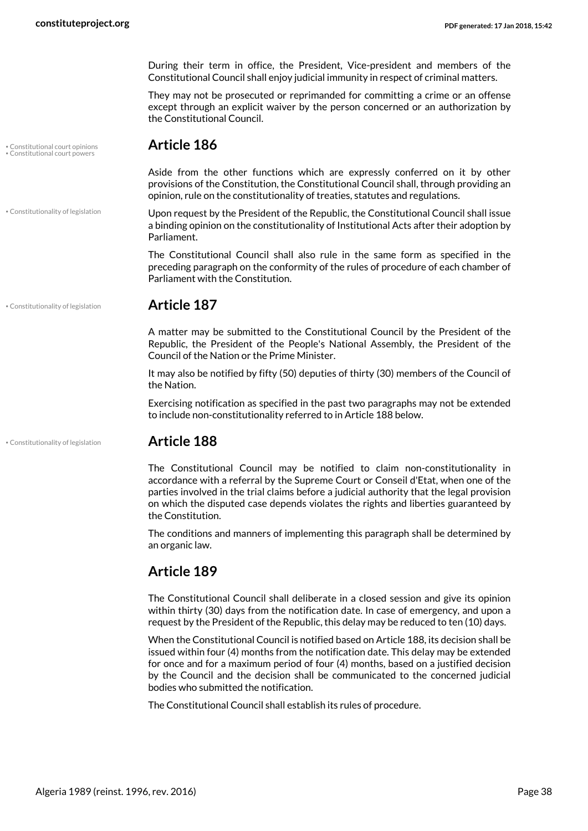During their term in office, the President, Vice-president and members of the Constitutional Council shall enjoy judicial immunity in respect of criminal matters.

They may not be prosecuted or reprimanded for committing a crime or an offense except through an explicit waiver by the person concerned or an authorization by the Constitutional Council.

## • Constitutional court opinions **Article 186** • Constitutional court powers

<span id="page-37-1"></span><span id="page-37-0"></span>Aside from the other functions which are expressly conferred on it by other provisions of the Constitution, the Constitutional Council shall, through providing an opinion, rule on the constitutionality of treaties, statutes and regulations.

Upon request by the President of the Republic, the Constitutional Council shall issue a binding opinion on the constitutionality of Institutional Acts after their adoption by Parliament.

The Constitutional Council shall also rule in the same form as specified in the preceding paragraph on the conformity of the rules of procedure of each chamber of Parliament with the Constitution.

• Constitutionality of legislation **Article 187**

• Constitutionality of legislation

A matter may be submitted to the Constitutional Council by the President of the Republic, the President of the People's National Assembly, the President of the Council of the Nation or the Prime Minister.

It may also be notified by fifty (50) deputies of thirty (30) members of the Council of the Nation.

Exercising notification as specified in the past two paragraphs may not be extended to include non-constitutionality referred to in Article 188 below.

#### • Constitutionality of legislation **Article 188**

<span id="page-37-2"></span>

The Constitutional Council may be notified to claim non-constitutionality in accordance with a referral by the Supreme Court or Conseil d'Etat, when one of the parties involved in the trial claims before a judicial authority that the legal provision on which the disputed case depends violates the rights and liberties guaranteed by the Constitution.

The conditions and manners of implementing this paragraph shall be determined by an organic law.

#### **Article 189**

The Constitutional Council shall deliberate in a closed session and give its opinion within thirty (30) days from the notification date. In case of emergency, and upon a request by the President of the Republic, this delay may be reduced to ten (10) days.

When the Constitutional Council is notified based on Article 188, its decision shall be issued within four (4) months from the notification date. This delay may be extended for once and for a maximum period of four (4) months, based on a justified decision by the Council and the decision shall be communicated to the concerned judicial bodies who submitted the notification.

The Constitutional Council shall establish its rules of procedure.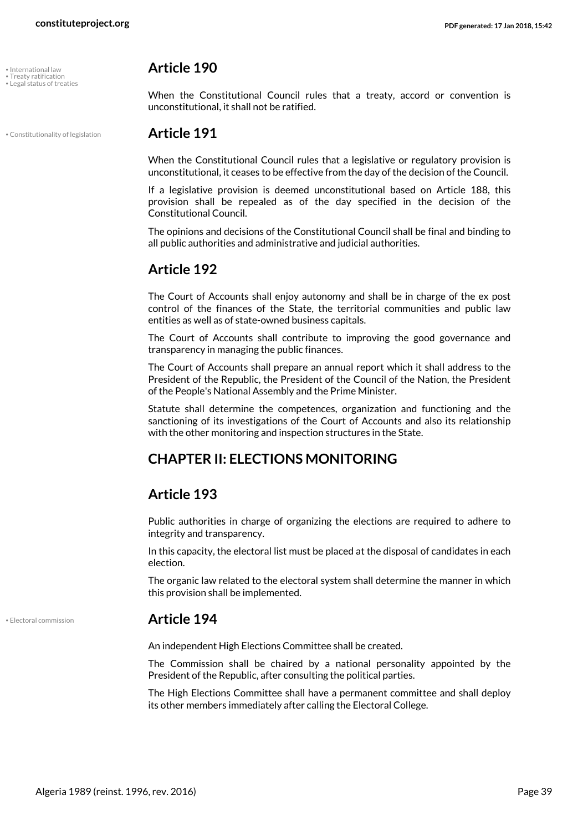<span id="page-38-5"></span>• Treaty ratification<br>• Legal status of treaties

#### <span id="page-38-3"></span>• International law **Article 190**

<span id="page-38-4"></span>When the Constitutional Council rules that a treaty, accord or convention is unconstitutional, it shall not be ratified.

#### • Constitutionality of legislation **Article 191**

<span id="page-38-1"></span>When the Constitutional Council rules that a legislative or regulatory provision is unconstitutional, it ceases to be effective from the day of the decision of the Council.

If a legislative provision is deemed unconstitutional based on Article 188, this provision shall be repealed as of the day specified in the decision of the Constitutional Council.

The opinions and decisions of the Constitutional Council shall be final and binding to all public authorities and administrative and judicial authorities.

#### **Article 192**

The Court of Accounts shall enjoy autonomy and shall be in charge of the ex post control of the finances of the State, the territorial communities and public law entities as well as of state-owned business capitals.

The Court of Accounts shall contribute to improving the good governance and transparency in managing the public finances.

The Court of Accounts shall prepare an annual report which it shall address to the President of the Republic, the President of the Council of the Nation, the President of the People's National Assembly and the Prime Minister.

Statute shall determine the competences, organization and functioning and the sanctioning of its investigations of the Court of Accounts and also its relationship with the other monitoring and inspection structures in the State.

### <span id="page-38-0"></span>**CHAPTER II: ELECTIONS MONITORING**

### **Article 193**

Public authorities in charge of organizing the elections are required to adhere to integrity and transparency.

In this capacity, the electoral list must be placed at the disposal of candidates in each election.

The organic law related to the electoral system shall determine the manner in which this provision shall be implemented.

#### <span id="page-38-2"></span>• Electoral commission **Article 194**

An independent High Elections Committee shall be created.

The Commission shall be chaired by a national personality appointed by the President of the Republic, after consulting the political parties.

The High Elections Committee shall have a permanent committee and shall deploy its other members immediately after calling the Electoral College.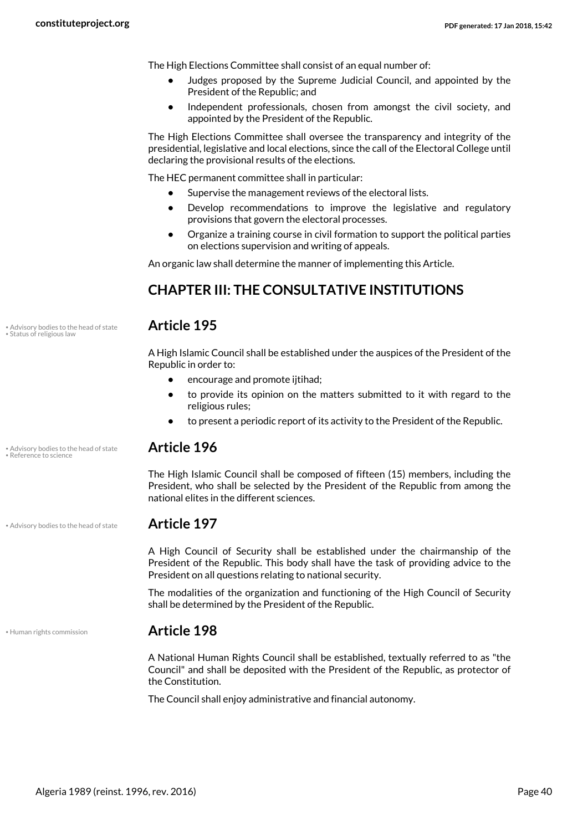The High Elections Committee shall consist of an equal number of:

- **•** Judges proposed by the Supreme Judicial Council, and appointed by the President of the Republic; and
- **•** Independent professionals, chosen from amongst the civil society, and appointed by the President of the Republic.

The High Elections Committee shall oversee the transparency and integrity of the presidential, legislative and local elections, since the call of the Electoral College until declaring the provisional results of the elections.

The HEC permanent committee shall in particular:

- **•** Supervise the management reviews of the electoral lists.
- **•** Develop recommendations to improve the legislative and regulatory provisions that govern the electoral processes.
- <span id="page-39-0"></span>**•** Organize a training course in civil formation to support the political parties on elections supervision and writing of appeals.

An organic law shall determine the manner of implementing this Article.

### **CHAPTER III: THE CONSULTATIVE INSTITUTIONS**

<span id="page-39-4"></span>

A High Islamic Council shall be established under the auspices of the President of the Republic in order to:

- **•** encourage and promote ijtihad;
- **•** to provide its opinion on the matters submitted to it with regard to the religious rules;
- **•** to present a periodic report of its activity to the President of the Republic.

### <span id="page-39-3"></span>• Advisory bodies to the head of state **Article 196** • Reference to science

The High Islamic Council shall be composed of fifteen (15) members, including the President, who shall be selected by the President of the Republic from among the national elites in the different sciences.

<span id="page-39-1"></span>A High Council of Security shall be established under the chairmanship of the President of the Republic. This body shall have the task of providing advice to the President on all questions relating to national security.

The modalities of the organization and functioning of the High Council of Security shall be determined by the President of the Republic.

#### • Human rights commission **Article 198**

<span id="page-39-2"></span>A National Human Rights Council shall be established, textually referred to as "the Council" and shall be deposited with the President of the Republic, as protector of the Constitution.

The Council shall enjoy administrative and financial autonomy.

• Advisory bodies to the head of state **Article 195** • Status of religious law

• Advisory bodies to the head of state **Article 197**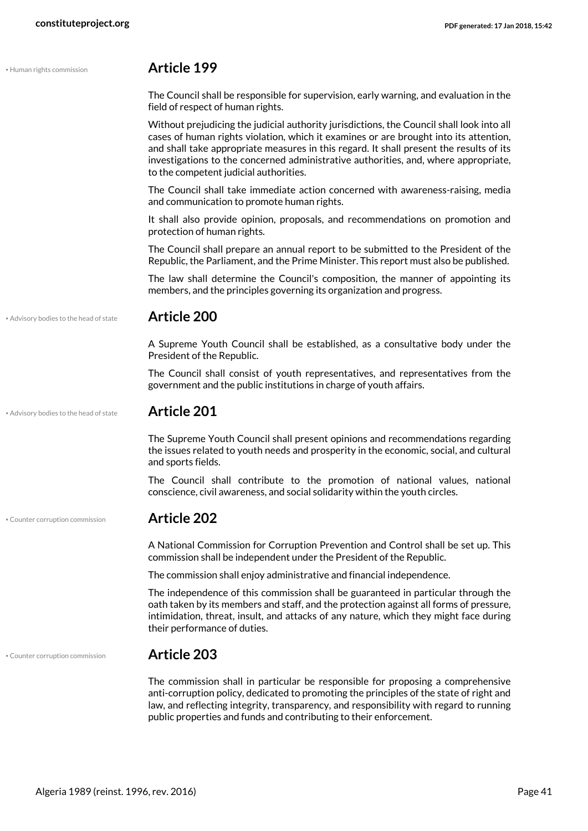<span id="page-40-2"></span><span id="page-40-1"></span><span id="page-40-0"></span>

| · Human rights commission              | <b>Article 199</b>                                                                                                                                                                                                                                                                                                                                                                                             |
|----------------------------------------|----------------------------------------------------------------------------------------------------------------------------------------------------------------------------------------------------------------------------------------------------------------------------------------------------------------------------------------------------------------------------------------------------------------|
|                                        | The Council shall be responsible for supervision, early warning, and evaluation in the<br>field of respect of human rights.                                                                                                                                                                                                                                                                                    |
|                                        | Without prejudicing the judicial authority jurisdictions, the Council shall look into all<br>cases of human rights violation, which it examines or are brought into its attention,<br>and shall take appropriate measures in this regard. It shall present the results of its<br>investigations to the concerned administrative authorities, and, where appropriate,<br>to the competent judicial authorities. |
|                                        | The Council shall take immediate action concerned with awareness-raising, media<br>and communication to promote human rights.                                                                                                                                                                                                                                                                                  |
|                                        | It shall also provide opinion, proposals, and recommendations on promotion and<br>protection of human rights.                                                                                                                                                                                                                                                                                                  |
|                                        | The Council shall prepare an annual report to be submitted to the President of the<br>Republic, the Parliament, and the Prime Minister. This report must also be published.                                                                                                                                                                                                                                    |
|                                        | The law shall determine the Council's composition, the manner of appointing its<br>members, and the principles governing its organization and progress.                                                                                                                                                                                                                                                        |
| . Advisory bodies to the head of state | <b>Article 200</b>                                                                                                                                                                                                                                                                                                                                                                                             |
|                                        | A Supreme Youth Council shall be established, as a consultative body under the<br>President of the Republic.                                                                                                                                                                                                                                                                                                   |
|                                        | The Council shall consist of youth representatives, and representatives from the<br>government and the public institutions in charge of youth affairs.                                                                                                                                                                                                                                                         |
| . Advisory bodies to the head of state | <b>Article 201</b>                                                                                                                                                                                                                                                                                                                                                                                             |
|                                        | The Supreme Youth Council shall present opinions and recommendations regarding<br>the issues related to youth needs and prosperity in the economic, social, and cultural<br>and sports fields.                                                                                                                                                                                                                 |
|                                        | The Council shall contribute to the promotion of national values, national<br>conscience, civil awareness, and social solidarity within the youth circles.                                                                                                                                                                                                                                                     |
| · Counter corruption commission        | <b>Article 202</b>                                                                                                                                                                                                                                                                                                                                                                                             |
|                                        | A National Commission for Corruption Prevention and Control shall be set up. This<br>commission shall be independent under the President of the Republic.                                                                                                                                                                                                                                                      |
|                                        | The commission shall enjoy administrative and financial independence.                                                                                                                                                                                                                                                                                                                                          |
|                                        | The independence of this commission shall be guaranteed in particular through the<br>oath taken by its members and staff, and the protection against all forms of pressure,<br>intimidation, threat, insult, and attacks of any nature, which they might face during<br>their performance of duties.                                                                                                           |
| · Counter corruption commission        | <b>Article 203</b>                                                                                                                                                                                                                                                                                                                                                                                             |
|                                        | The commission shall in particular be responsible for proposing a comprehensive<br>anti-corruption policy, dedicated to promoting the principles of the state of right and<br>law, and reflecting integrity, transparency, and responsibility with regard to running<br>public properties and funds and contributing to their enforcement.                                                                     |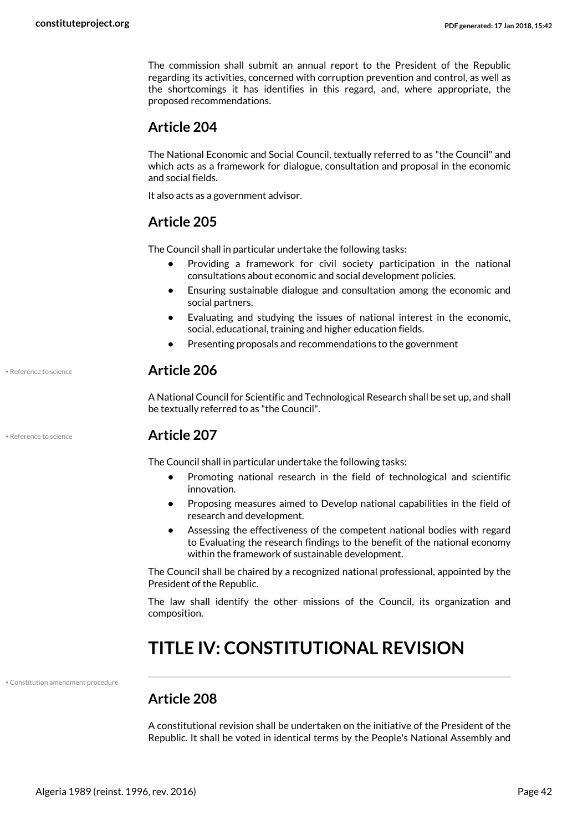The commission shall submit an annual report to the President of the Republic regarding its activities, concerned with corruption prevention and control, as well as the shortcomings it has identifies in this regard, and, where appropriate, the proposed recommendations.

#### **Article 204**

The National Economic and Social Council, textually referred to as "the Council" and which acts as a framework for dialogue, consultation and proposal in the economic and social fields.

It also acts as a government advisor.

### **Article 205**

The Council shall in particular undertake the following tasks:

- **•** Providing a framework for civil society participation in the national consultations about economic and social development policies.
- **•** Ensuring sustainable dialogue and consultation among the economic and social partners.
- **•** Evaluating and studying the issues of national interest in the economic, social, educational, training and higher education fields.
- **•** Presenting proposals and recommendations to the government

#### • Reference to science **Article 206**

A National Council for Scientific and Technological Research shall be set up, and shall be textually referred to as "the Council".

#### • Reference to science **Article 207**

The Council shall in particular undertake the following tasks:

- **•** Promoting national research in the field of technological and scientific innovation.
- **•** Proposing measures aimed to Develop national capabilities in the field of research and development.
- <span id="page-41-0"></span>**•** Assessing the effectiveness of the competent national bodies with regard to Evaluating the research findings to the benefit of the national economy within the framework of sustainable development.

The Council shall be chaired by a recognized national professional, appointed by the President of the Republic.

The law shall identify the other missions of the Council, its organization and composition.

## **TITLE IV: CONSTITUTIONAL REVISION**

• Constitution amendment procedure

## <span id="page-41-1"></span>**Article 208**

A constitutional revision shall be undertaken on the initiative of the President of the Republic. It shall be voted in identical terms by the People's National Assembly and

<span id="page-41-2"></span>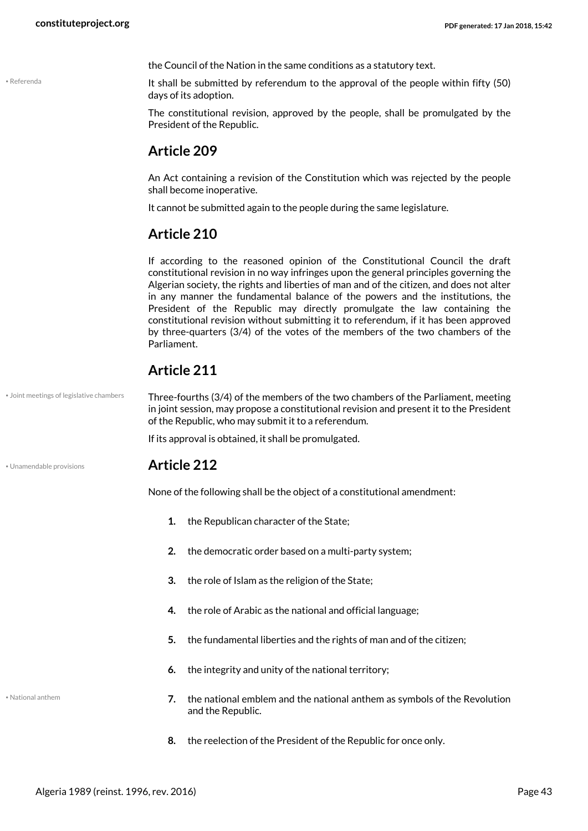<span id="page-42-2"></span>• Referenda

the Council of the Nation in the same conditions as a statutory text.

It shall be submitted by referendum to the approval of the people within fifty (50) days of its adoption.

The constitutional revision, approved by the people, shall be promulgated by the President of the Republic.

#### **Article 209**

An Act containing a revision of the Constitution which was rejected by the people shall become inoperative.

It cannot be submitted again to the people during the same legislature.

#### **Article 210**

If according to the reasoned opinion of the Constitutional Council the draft constitutional revision in no way infringes upon the general principles governing the Algerian society, the rights and liberties of man and of the citizen, and does not alter in any manner the fundamental balance of the powers and the institutions, the President of the Republic may directly promulgate the law containing the constitutional revision without submitting it to referendum, if it has been approved by three-quarters (3/4) of the votes of the members of the two chambers of the Parliament.

### <span id="page-42-0"></span>**Article 211**

Three-fourths (3/4) of the members of the two chambers of the Parliament, meeting in joint session, may propose a constitutional revision and present it to the President of the Republic, who may submit it to a referendum. • Joint meetings of legislative chambers

<span id="page-42-3"></span>If its approval is obtained, it shall be promulgated.

#### • Unamendable provisions **Article 212**

None of the following shall be the object of a constitutional amendment:

- **1.** the Republican character of the State;
- **2.** the democratic order based on a multi-party system;
- **3.** the role of Islam as the religion of the State;
- **4.** the role of Arabic as the national and official language;
- **5.** the fundamental liberties and the rights of man and of the citizen;
- **6.** the integrity and unity of the national territory;

<span id="page-42-1"></span>• National anthem

- **7.** the national emblem and the national anthem as symbols of the Revolution and the Republic.
- **8.** the reelection of the President of the Republic for once only.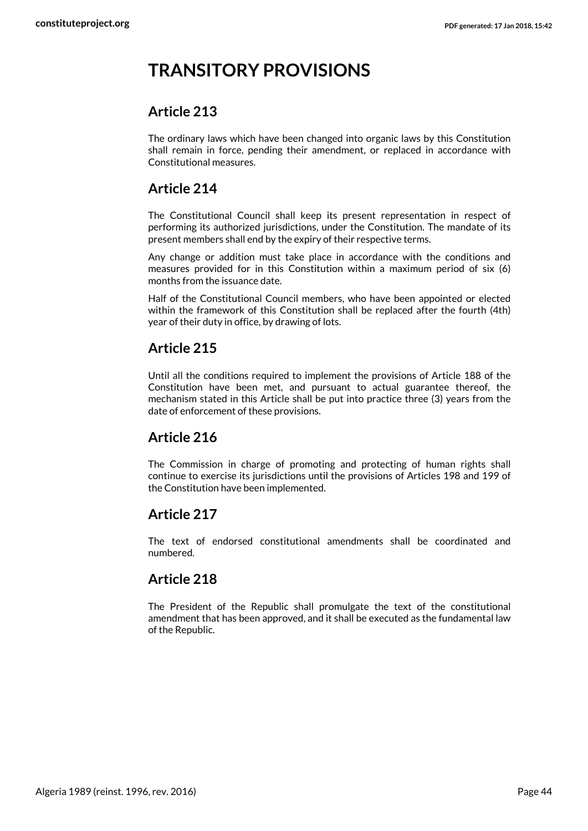## <span id="page-43-0"></span>**TRANSITORY PROVISIONS**

#### **Article 213**

The ordinary laws which have been changed into organic laws by this Constitution shall remain in force, pending their amendment, or replaced in accordance with Constitutional measures.

### **Article 214**

The Constitutional Council shall keep its present representation in respect of performing its authorized jurisdictions, under the Constitution. The mandate of its present members shall end by the expiry of their respective terms.

Any change or addition must take place in accordance with the conditions and measures provided for in this Constitution within a maximum period of six (6) months from the issuance date.

Half of the Constitutional Council members, who have been appointed or elected within the framework of this Constitution shall be replaced after the fourth (4th) year of their duty in office, by drawing of lots.

### **Article 215**

Until all the conditions required to implement the provisions of Article 188 of the Constitution have been met, and pursuant to actual guarantee thereof, the mechanism stated in this Article shall be put into practice three (3) years from the date of enforcement of these provisions.

### **Article 216**

The Commission in charge of promoting and protecting of human rights shall continue to exercise its jurisdictions until the provisions of Articles 198 and 199 of the Constitution have been implemented.

#### **Article 217**

The text of endorsed constitutional amendments shall be coordinated and numbered.

### **Article 218**

The President of the Republic shall promulgate the text of the constitutional amendment that has been approved, and it shall be executed as the fundamental law of the Republic.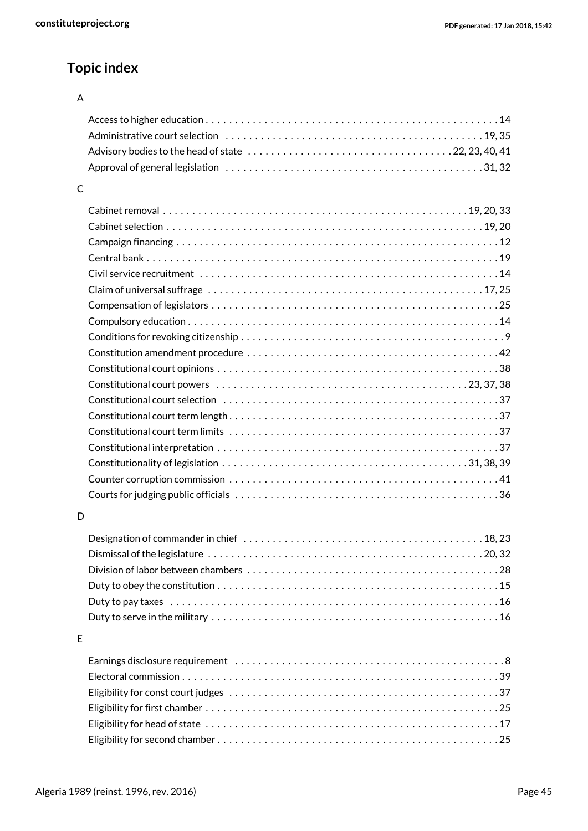## **Topic index**

#### A

#### C

#### D

| Duty to serve in the military $\dots\dots\dots\dots\dots\dots\dots\dots\dots\dots\dots\dots\dots\dots\dots\dots\dots$ |  |
|-----------------------------------------------------------------------------------------------------------------------|--|

#### E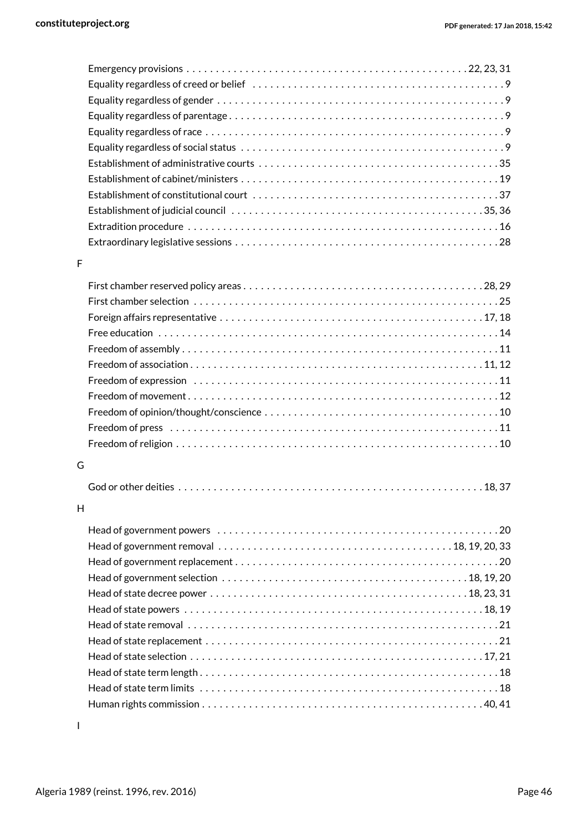#### F

#### G

|--|--|

#### H

I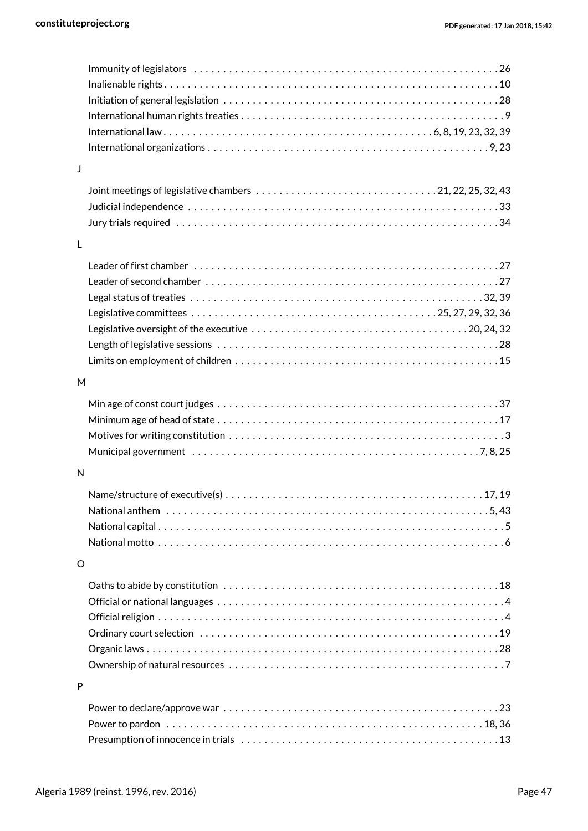| J |                                                                                                         |
|---|---------------------------------------------------------------------------------------------------------|
|   |                                                                                                         |
|   |                                                                                                         |
|   |                                                                                                         |
| L |                                                                                                         |
|   |                                                                                                         |
|   |                                                                                                         |
|   |                                                                                                         |
|   |                                                                                                         |
|   |                                                                                                         |
|   |                                                                                                         |
|   |                                                                                                         |
| M |                                                                                                         |
|   |                                                                                                         |
|   |                                                                                                         |
|   |                                                                                                         |
|   |                                                                                                         |
|   | Municipal government $\dots\dots\dots\dots\dots\dots\dots\dots\dots\dots\dots\dots\dots\dots\dots$      |
| N |                                                                                                         |
|   |                                                                                                         |
|   | National anthem $\dots\dots\dots\dots\dots\dots\dots\dots\dots\dots\dots\dots\dots\dots\dots\dots\dots$ |
|   |                                                                                                         |
|   |                                                                                                         |
| O |                                                                                                         |
|   |                                                                                                         |
|   |                                                                                                         |
|   |                                                                                                         |
|   |                                                                                                         |
|   |                                                                                                         |
|   |                                                                                                         |
| P |                                                                                                         |
|   |                                                                                                         |
|   |                                                                                                         |
|   |                                                                                                         |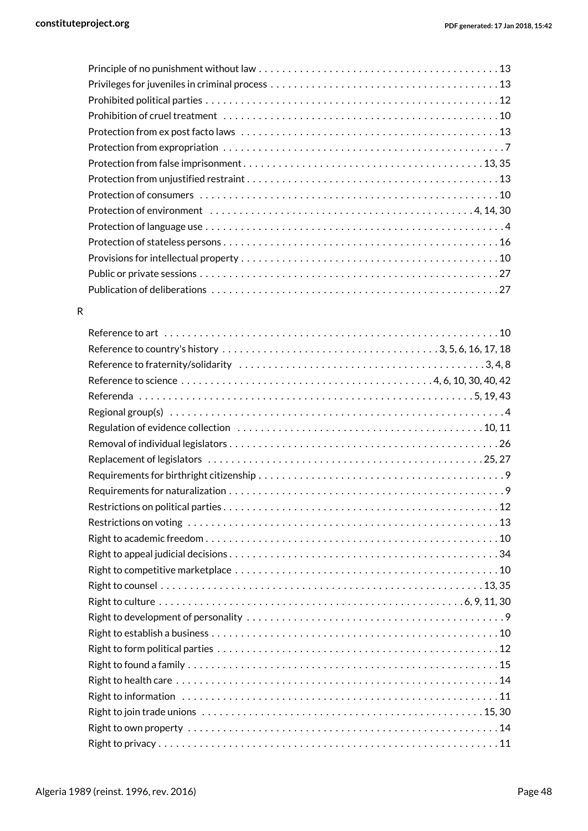#### R